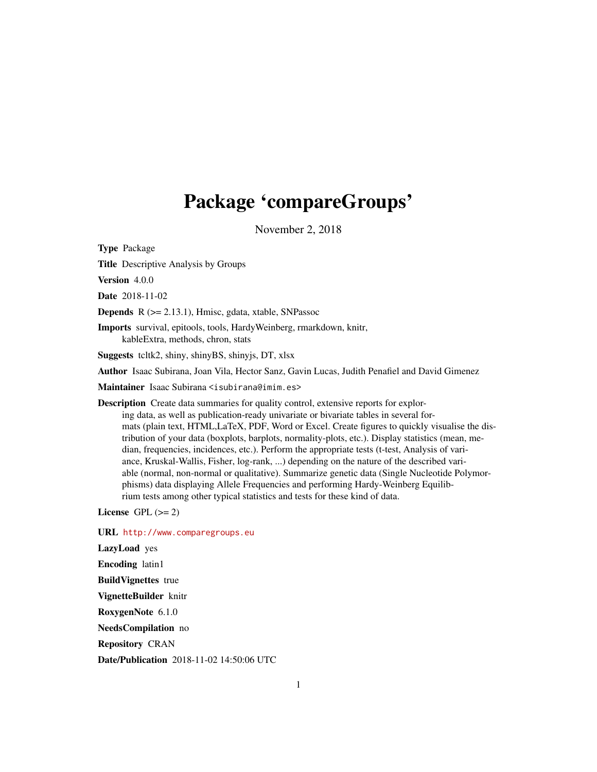# Package 'compareGroups'

November 2, 2018

<span id="page-0-0"></span>Type Package

Title Descriptive Analysis by Groups

Version 4.0.0

Date 2018-11-02

Depends R (>= 2.13.1), Hmisc, gdata, xtable, SNPassoc

Imports survival, epitools, tools, HardyWeinberg, rmarkdown, knitr, kableExtra, methods, chron, stats

Suggests tcltk2, shiny, shinyBS, shinyjs, DT, xlsx

Author Isaac Subirana, Joan Vila, Hector Sanz, Gavin Lucas, Judith Penafiel and David Gimenez

Maintainer Isaac Subirana <isubirana@imim.es>

Description Create data summaries for quality control, extensive reports for exploring data, as well as publication-ready univariate or bivariate tables in several formats (plain text, HTML,LaTeX, PDF, Word or Excel. Create figures to quickly visualise the distribution of your data (boxplots, barplots, normality-plots, etc.). Display statistics (mean, median, frequencies, incidences, etc.). Perform the appropriate tests (t-test, Analysis of variance, Kruskal-Wallis, Fisher, log-rank, ...) depending on the nature of the described variable (normal, non-normal or qualitative). Summarize genetic data (Single Nucleotide Polymorphisms) data displaying Allele Frequencies and performing Hardy-Weinberg Equilibrium tests among other typical statistics and tests for these kind of data.

License GPL  $(>= 2)$ 

URL <http://www.comparegroups.eu> LazyLoad yes Encoding latin1 BuildVignettes true VignetteBuilder knitr RoxygenNote 6.1.0 NeedsCompilation no Repository CRAN Date/Publication 2018-11-02 14:50:06 UTC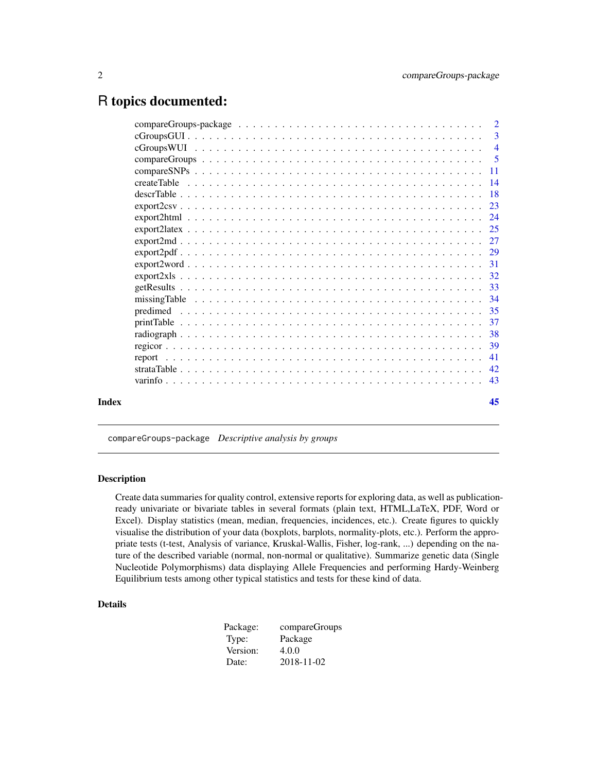# <span id="page-1-0"></span>R topics documented:

|       |                   | $\overline{2}$ |
|-------|-------------------|----------------|
|       |                   | 3              |
|       |                   |                |
|       |                   |                |
|       |                   |                |
|       |                   |                |
|       |                   |                |
|       |                   |                |
|       |                   |                |
|       |                   |                |
|       |                   |                |
|       | $\exp{ort2pdf29}$ |                |
|       |                   |                |
|       |                   |                |
|       |                   |                |
|       |                   |                |
|       |                   |                |
|       |                   |                |
|       |                   |                |
|       |                   |                |
|       |                   |                |
|       |                   |                |
|       |                   |                |
|       |                   |                |
| Index |                   | 45             |

compareGroups-package *Descriptive analysis by groups*

# Description

Create data summaries for quality control, extensive reports for exploring data, as well as publicationready univariate or bivariate tables in several formats (plain text, HTML,LaTeX, PDF, Word or Excel). Display statistics (mean, median, frequencies, incidences, etc.). Create figures to quickly visualise the distribution of your data (boxplots, barplots, normality-plots, etc.). Perform the appropriate tests (t-test, Analysis of variance, Kruskal-Wallis, Fisher, log-rank, ...) depending on the nature of the described variable (normal, non-normal or qualitative). Summarize genetic data (Single Nucleotide Polymorphisms) data displaying Allele Frequencies and performing Hardy-Weinberg Equilibrium tests among other typical statistics and tests for these kind of data.

#### Details

| Package: | compareGroups |
|----------|---------------|
| Type:    | Package       |
| Version: | 4.0.0         |
| Date:    | 2018-11-02    |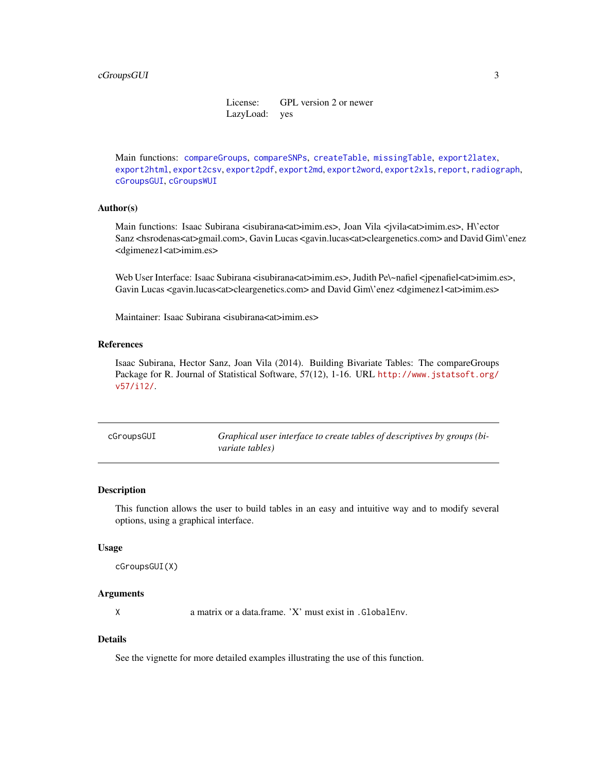License: GPL version 2 or newer LazyLoad: yes

<span id="page-2-0"></span>Main functions: [compareGroups](#page-4-1), [compareSNPs](#page-10-1), [createTable](#page-13-1), [missingTable](#page-33-1), [export2latex](#page-24-1), [export2html](#page-23-1), [export2csv](#page-22-1), [export2pdf](#page-28-1), [export2md](#page-26-1), [export2word](#page-30-1), [export2xls](#page-31-1), [report](#page-40-1), [radiograph](#page-37-1), [cGroupsGUI](#page-2-1), [cGroupsWUI](#page-3-1)

#### Author(s)

Main functions: Isaac Subirana <isubirana<at>imim.es>, Joan Vila < $j$ vila<at>imim.es>, H\'ector Sanz <hsrodenas<at>gmail.com>, Gavin Lucas <gavin.lucas<at>cleargenetics.com> and David Gim\'enez <dgimenez1<at>imim.es>

Web User Interface: Isaac Subirana <isubirana<at>imim.es>, Judith Pe\~nafiel <jpenafiel<at>imim.es>, Gavin Lucas <gavin.lucas<at>cleargenetics.com> and David Gim\'enez <dgimenez1<at>imim.es>

Maintainer: Isaac Subirana <isubirana<at>imim.es>

#### References

Isaac Subirana, Hector Sanz, Joan Vila (2014). Building Bivariate Tables: The compareGroups Package for R. Journal of Statistical Software, 57(12), 1-16. URL [http://www.jstatsoft.org/](http://www.jstatsoft.org/v57/i12/) [v57/i12/](http://www.jstatsoft.org/v57/i12/).

<span id="page-2-1"></span>

| cGroupsGUI | Graphical user interface to create tables of descriptives by groups (bi- |
|------------|--------------------------------------------------------------------------|
|            | variate tables)                                                          |

# Description

This function allows the user to build tables in an easy and intuitive way and to modify several options, using a graphical interface.

#### Usage

```
cGroupsGUI(X)
```
#### Arguments

X a matrix or a data.frame. 'X' must exist in .GlobalEnv.

# Details

See the vignette for more detailed examples illustrating the use of this function.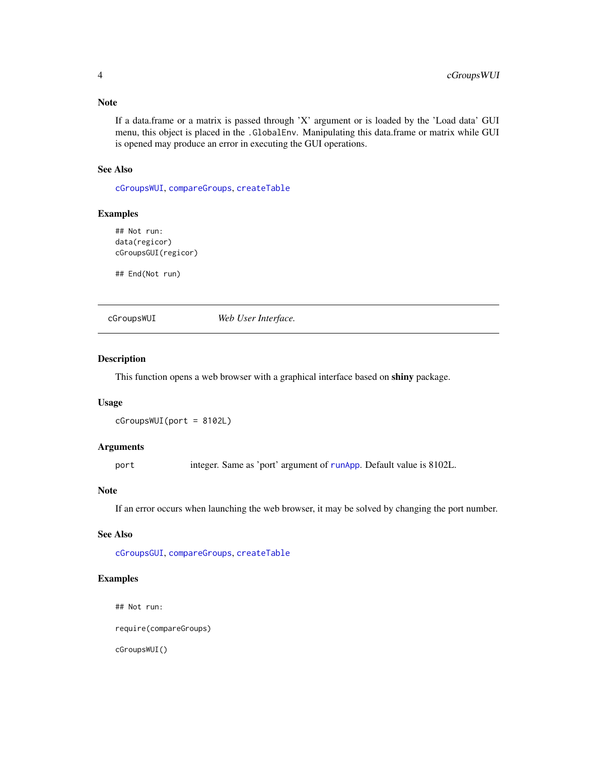# <span id="page-3-0"></span>Note

If a data.frame or a matrix is passed through 'X' argument or is loaded by the 'Load data' GUI menu, this object is placed in the .GlobalEnv. Manipulating this data.frame or matrix while GUI is opened may produce an error in executing the GUI operations.

# See Also

[cGroupsWUI](#page-3-1), [compareGroups](#page-4-1), [createTable](#page-13-1)

# Examples

```
## Not run:
data(regicor)
cGroupsGUI(regicor)
```
## End(Not run)

<span id="page-3-1"></span>cGroupsWUI *Web User Interface.*

# Description

This function opens a web browser with a graphical interface based on shiny package.

# Usage

```
cGroupsWUI(port = 8102L)
```
#### Arguments

port integer. Same as 'port' argument of [runApp](#page-0-0). Default value is 8102L.

#### Note

If an error occurs when launching the web browser, it may be solved by changing the port number.

# See Also

[cGroupsGUI](#page-2-1), [compareGroups](#page-4-1), [createTable](#page-13-1)

# Examples

## Not run:

require(compareGroups)

cGroupsWUI()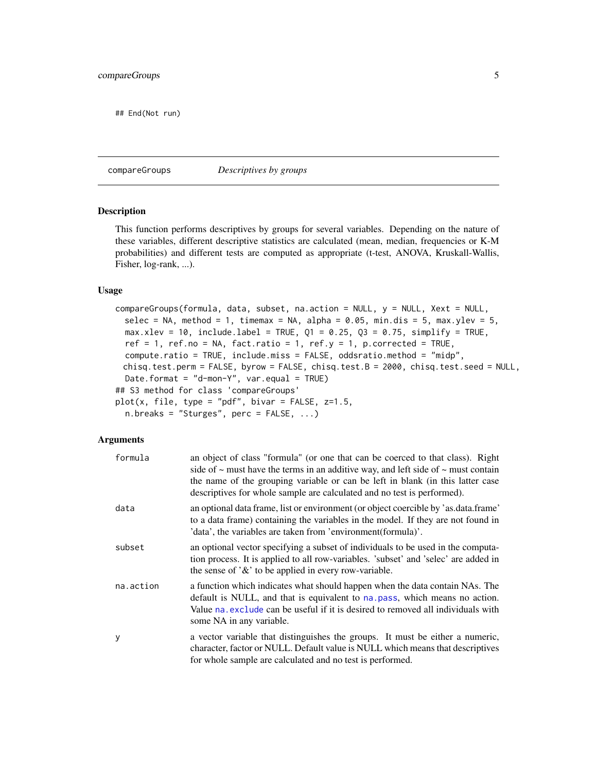<span id="page-4-0"></span>## End(Not run)

<span id="page-4-1"></span>compareGroups *Descriptives by groups*

#### Description

This function performs descriptives by groups for several variables. Depending on the nature of these variables, different descriptive statistics are calculated (mean, median, frequencies or K-M probabilities) and different tests are computed as appropriate (t-test, ANOVA, Kruskall-Wallis, Fisher, log-rank, ...).

# Usage

```
compareGroups(formula, data, subset, na.action = NULL, y = NULL, Xext = NULL,
 selec = NA, method = 1, timemax = NA, alpha = 0.05, min.dis = 5, max.ylev = 5,
 max.xlev = 10, include.label = TRUE, Q1 = 0.25, Q3 = 0.75, simplify = TRUE,
 ref = 1, ref.no = NA, fact.ratio = 1, ref.y = 1, p.corrected = TRUE,
  compute.ratio = TRUE, include.miss = FALSE, oddsratio.method = "midp",
 chisq.test.perm = FALSE, byrow = FALSE, chisq.test.B = 2000, chisq.test.seed = NULL,
 Date.format = "d-mon-Y", var.equals = TRUE)## S3 method for class 'compareGroups'
plot(x, file, type = "pdf", bivar = FALSE, z=1.5,n.breaks = "Sturges", perc = FALSE, ...)
```
# Arguments

| formula   | an object of class "formula" (or one that can be coerced to that class). Right<br>side of $\sim$ must have the terms in an additive way, and left side of $\sim$ must contain<br>the name of the grouping variable or can be left in blank (in this latter case<br>descriptives for whole sample are calculated and no test is performed). |
|-----------|--------------------------------------------------------------------------------------------------------------------------------------------------------------------------------------------------------------------------------------------------------------------------------------------------------------------------------------------|
| data      | an optional data frame, list or environment (or object coercible by 'as.data.frame'<br>to a data frame) containing the variables in the model. If they are not found in<br>'data', the variables are taken from 'environment(formula)'.                                                                                                    |
| subset    | an optional vector specifying a subset of individuals to be used in the computa-<br>tion process. It is applied to all row-variables. 'subset' and 'selec' are added in<br>the sense of $\mathcal{X}'$ to be applied in every row-variable.                                                                                                |
| na.action | a function which indicates what should happen when the data contain NAs. The<br>default is NULL, and that is equivalent to na. pass, which means no action.<br>Value na exclude can be useful if it is desired to removed all individuals with<br>some NA in any variable.                                                                 |
| У         | a vector variable that distinguishes the groups. It must be either a numeric,<br>character, factor or NULL. Default value is NULL which means that descriptives<br>for whole sample are calculated and no test is performed.                                                                                                               |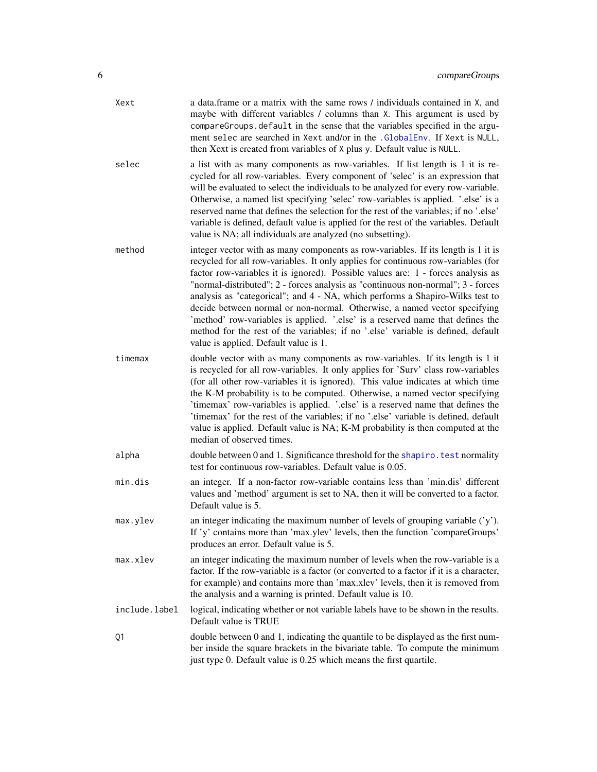<span id="page-5-0"></span>

| Xext          | a data.frame or a matrix with the same rows / individuals contained in X, and<br>maybe with different variables / columns than X. This argument is used by<br>compareGroups.default in the sense that the variables specified in the argu-<br>ment selec are searched in Xext and/or in the .GlobalEnv. If Xext is NULL,<br>then Xext is created from variables of X plus y. Default value is NULL.                                                                                                                                                                                                                                                                                                                        |
|---------------|----------------------------------------------------------------------------------------------------------------------------------------------------------------------------------------------------------------------------------------------------------------------------------------------------------------------------------------------------------------------------------------------------------------------------------------------------------------------------------------------------------------------------------------------------------------------------------------------------------------------------------------------------------------------------------------------------------------------------|
| selec         | a list with as many components as row-variables. If list length is 1 it is re-<br>cycled for all row-variables. Every component of 'selec' is an expression that<br>will be evaluated to select the individuals to be analyzed for every row-variable.<br>Otherwise, a named list specifying 'selec' row-variables is applied. '.else' is a<br>reserved name that defines the selection for the rest of the variables; if no '.else'<br>variable is defined, default value is applied for the rest of the variables. Default<br>value is NA; all individuals are analyzed (no subsetting).                                                                                                                                 |
| method        | integer vector with as many components as row-variables. If its length is 1 it is<br>recycled for all row-variables. It only applies for continuous row-variables (for<br>factor row-variables it is ignored). Possible values are: 1 - forces analysis as<br>"normal-distributed"; 2 - forces analysis as "continuous non-normal"; 3 - forces<br>analysis as "categorical"; and 4 - NA, which performs a Shapiro-Wilks test to<br>decide between normal or non-normal. Otherwise, a named vector specifying<br>'method' row-variables is applied. 'else' is a reserved name that defines the<br>method for the rest of the variables; if no '.else' variable is defined, default<br>value is applied. Default value is 1. |
| timemax       | double vector with as many components as row-variables. If its length is 1 it<br>is recycled for all row-variables. It only applies for 'Surv' class row-variables<br>(for all other row-variables it is ignored). This value indicates at which time<br>the K-M probability is to be computed. Otherwise, a named vector specifying<br>'timemax' row-variables is applied. '.else' is a reserved name that defines the<br>'timemax' for the rest of the variables; if no '.else' variable is defined, default<br>value is applied. Default value is NA; K-M probability is then computed at the<br>median of observed times.                                                                                              |
| alpha         | double between 0 and 1. Significance threshold for the shapiro. test normality<br>test for continuous row-variables. Default value is 0.05.                                                                                                                                                                                                                                                                                                                                                                                                                                                                                                                                                                                |
| min.dis       | an integer. If a non-factor row-variable contains less than 'min.dis' different<br>values and 'method' argument is set to NA, then it will be converted to a factor.<br>Default value is 5.                                                                                                                                                                                                                                                                                                                                                                                                                                                                                                                                |
| max.ylev      | an integer indicating the maximum number of levels of grouping variable $('y')$ .<br>If 'y' contains more than 'max.ylev' levels, then the function 'compareGroups'<br>produces an error. Default value is 5.                                                                                                                                                                                                                                                                                                                                                                                                                                                                                                              |
| max.xlev      | an integer indicating the maximum number of levels when the row-variable is a<br>factor. If the row-variable is a factor (or converted to a factor if it is a character,<br>for example) and contains more than 'max.xlev' levels, then it is removed from<br>the analysis and a warning is printed. Default value is 10.                                                                                                                                                                                                                                                                                                                                                                                                  |
| include.label | logical, indicating whether or not variable labels have to be shown in the results.<br>Default value is TRUE                                                                                                                                                                                                                                                                                                                                                                                                                                                                                                                                                                                                               |
| Q1            | double between 0 and 1, indicating the quantile to be displayed as the first num-<br>ber inside the square brackets in the bivariate table. To compute the minimum<br>just type 0. Default value is 0.25 which means the first quartile.                                                                                                                                                                                                                                                                                                                                                                                                                                                                                   |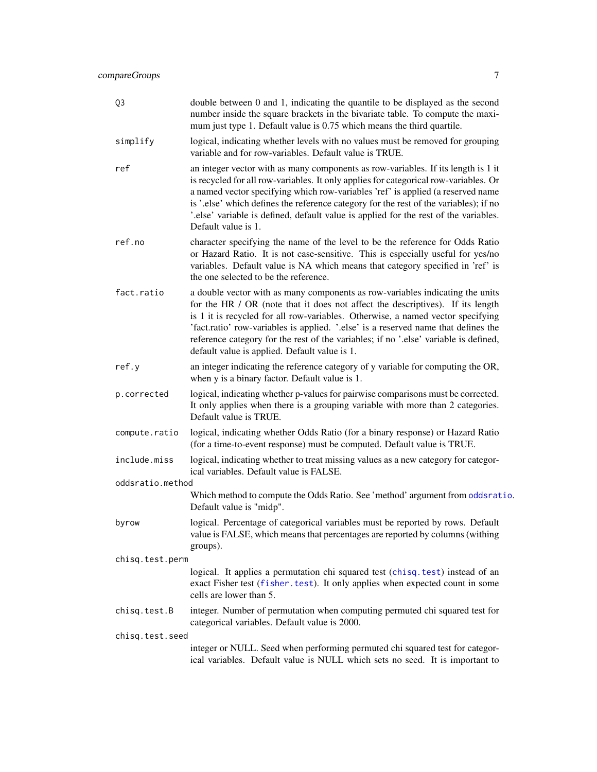<span id="page-6-0"></span>

| Q3               | double between 0 and 1, indicating the quantile to be displayed as the second<br>number inside the square brackets in the bivariate table. To compute the maxi-<br>mum just type 1. Default value is 0.75 which means the third quartile.                                                                                                                                                                                                                                         |
|------------------|-----------------------------------------------------------------------------------------------------------------------------------------------------------------------------------------------------------------------------------------------------------------------------------------------------------------------------------------------------------------------------------------------------------------------------------------------------------------------------------|
| simplify         | logical, indicating whether levels with no values must be removed for grouping<br>variable and for row-variables. Default value is TRUE.                                                                                                                                                                                                                                                                                                                                          |
| ref              | an integer vector with as many components as row-variables. If its length is 1 it<br>is recycled for all row-variables. It only applies for categorical row-variables. Or<br>a named vector specifying which row-variables 'ref' is applied (a reserved name<br>is '.else' which defines the reference category for the rest of the variables); if no<br>'.else' variable is defined, default value is applied for the rest of the variables.<br>Default value is 1.              |
| ref.no           | character specifying the name of the level to be the reference for Odds Ratio<br>or Hazard Ratio. It is not case-sensitive. This is especially useful for yes/no<br>variables. Default value is NA which means that category specified in 'ref' is<br>the one selected to be the reference.                                                                                                                                                                                       |
| fact.ratio       | a double vector with as many components as row-variables indicating the units<br>for the HR / OR (note that it does not affect the descriptives). If its length<br>is 1 it is recycled for all row-variables. Otherwise, a named vector specifying<br>'fact.ratio' row-variables is applied. '.else' is a reserved name that defines the<br>reference category for the rest of the variables; if no '.else' variable is defined,<br>default value is applied. Default value is 1. |
| ref.y            | an integer indicating the reference category of y variable for computing the OR,<br>when y is a binary factor. Default value is 1.                                                                                                                                                                                                                                                                                                                                                |
| p.corrected      | logical, indicating whether p-values for pairwise comparisons must be corrected.<br>It only applies when there is a grouping variable with more than 2 categories.<br>Default value is TRUE.                                                                                                                                                                                                                                                                                      |
| compute.ratio    | logical, indicating whether Odds Ratio (for a binary response) or Hazard Ratio<br>(for a time-to-event response) must be computed. Default value is TRUE.                                                                                                                                                                                                                                                                                                                         |
| include.miss     | logical, indicating whether to treat missing values as a new category for categor-<br>ical variables. Default value is FALSE.                                                                                                                                                                                                                                                                                                                                                     |
| oddsratio.method |                                                                                                                                                                                                                                                                                                                                                                                                                                                                                   |
|                  | Which method to compute the Odds Ratio. See 'method' argument from oddsratio.<br>Default value is "midp".                                                                                                                                                                                                                                                                                                                                                                         |
| byrow            | logical. Percentage of categorical variables must be reported by rows. Default<br>value is FALSE, which means that percentages are reported by columns (withing<br>groups).                                                                                                                                                                                                                                                                                                       |
| chisq.test.perm  |                                                                                                                                                                                                                                                                                                                                                                                                                                                                                   |
|                  | logical. It applies a permutation chi squared test (chisq.test) instead of an<br>exact Fisher test (fisher.test). It only applies when expected count in some<br>cells are lower than 5.                                                                                                                                                                                                                                                                                          |
| chisq.test.B     | integer. Number of permutation when computing permuted chi squared test for<br>categorical variables. Default value is 2000.                                                                                                                                                                                                                                                                                                                                                      |
| chisq.test.seed  |                                                                                                                                                                                                                                                                                                                                                                                                                                                                                   |
|                  | integer or NULL. Seed when performing permuted chi squared test for categor-<br>ical variables. Default value is NULL which sets no seed. It is important to                                                                                                                                                                                                                                                                                                                      |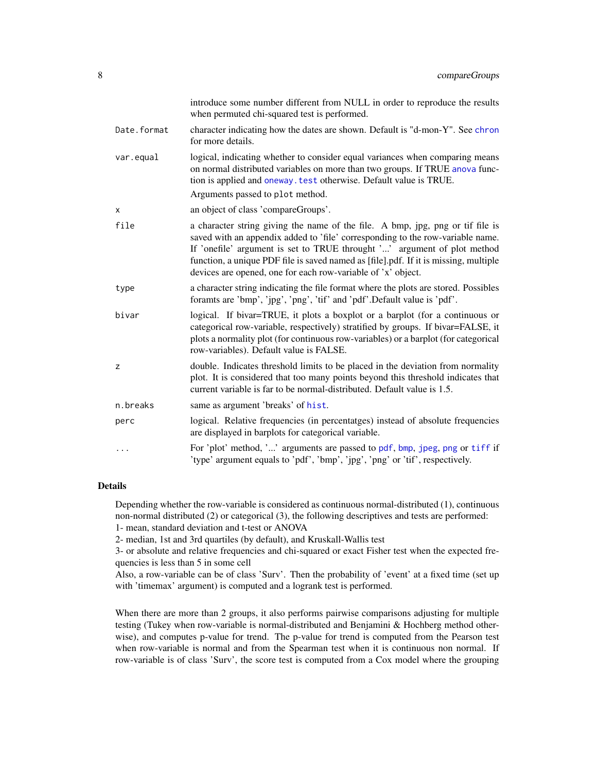<span id="page-7-0"></span>

|             | introduce some number different from NULL in order to reproduce the results<br>when permuted chi-squared test is performed.                                                                                                                                                                                                                                                                          |
|-------------|------------------------------------------------------------------------------------------------------------------------------------------------------------------------------------------------------------------------------------------------------------------------------------------------------------------------------------------------------------------------------------------------------|
| Date.format | character indicating how the dates are shown. Default is "d-mon-Y". See chron<br>for more details.                                                                                                                                                                                                                                                                                                   |
| var.equal   | logical, indicating whether to consider equal variances when comparing means<br>on normal distributed variables on more than two groups. If TRUE anova func-<br>tion is applied and oneway. test otherwise. Default value is TRUE.                                                                                                                                                                   |
|             | Arguments passed to plot method.                                                                                                                                                                                                                                                                                                                                                                     |
| x           | an object of class 'compareGroups'.                                                                                                                                                                                                                                                                                                                                                                  |
| file        | a character string giving the name of the file. A bmp, jpg, png or tif file is<br>saved with an appendix added to 'file' corresponding to the row-variable name.<br>If 'onefile' argument is set to TRUE throught '' argument of plot method<br>function, a unique PDF file is saved named as [file].pdf. If it is missing, multiple<br>devices are opened, one for each row-variable of 'x' object. |
| type        | a character string indicating the file format where the plots are stored. Possibles<br>foramts are 'bmp', 'jpg', 'png', 'tif' and 'pdf'.Default value is 'pdf'.                                                                                                                                                                                                                                      |
| bivar       | logical. If bivar=TRUE, it plots a boxplot or a barplot (for a continuous or<br>categorical row-variable, respectively) stratified by groups. If bivar=FALSE, it<br>plots a normality plot (for continuous row-variables) or a barplot (for categorical<br>row-variables). Default value is FALSE.                                                                                                   |
| z           | double. Indicates threshold limits to be placed in the deviation from normality<br>plot. It is considered that too many points beyond this threshold indicates that<br>current variable is far to be normal-distributed. Default value is 1.5.                                                                                                                                                       |
| n.breaks    | same as argument 'breaks' of hist.                                                                                                                                                                                                                                                                                                                                                                   |
| perc        | logical. Relative frequencies (in percentatges) instead of absolute frequencies<br>are displayed in barplots for categorical variable.                                                                                                                                                                                                                                                               |
| .           | For 'plot' method, '' arguments are passed to pdf, bmp, jpeg, png or tiff if<br>'type' argument equals to 'pdf', 'bmp', 'jpg', 'png' or 'tif', respectively.                                                                                                                                                                                                                                         |

# Details

Depending whether the row-variable is considered as continuous normal-distributed (1), continuous non-normal distributed (2) or categorical (3), the following descriptives and tests are performed: 1- mean, standard deviation and t-test or ANOVA

2- median, 1st and 3rd quartiles (by default), and Kruskall-Wallis test

3- or absolute and relative frequencies and chi-squared or exact Fisher test when the expected frequencies is less than 5 in some cell

Also, a row-variable can be of class 'Surv'. Then the probability of 'event' at a fixed time (set up with 'timemax' argument) is computed and a logrank test is performed.

When there are more than 2 groups, it also performs pairwise comparisons adjusting for multiple testing (Tukey when row-variable is normal-distributed and Benjamini & Hochberg method otherwise), and computes p-value for trend. The p-value for trend is computed from the Pearson test when row-variable is normal and from the Spearman test when it is continuous non normal. If row-variable is of class 'Surv', the score test is computed from a Cox model where the grouping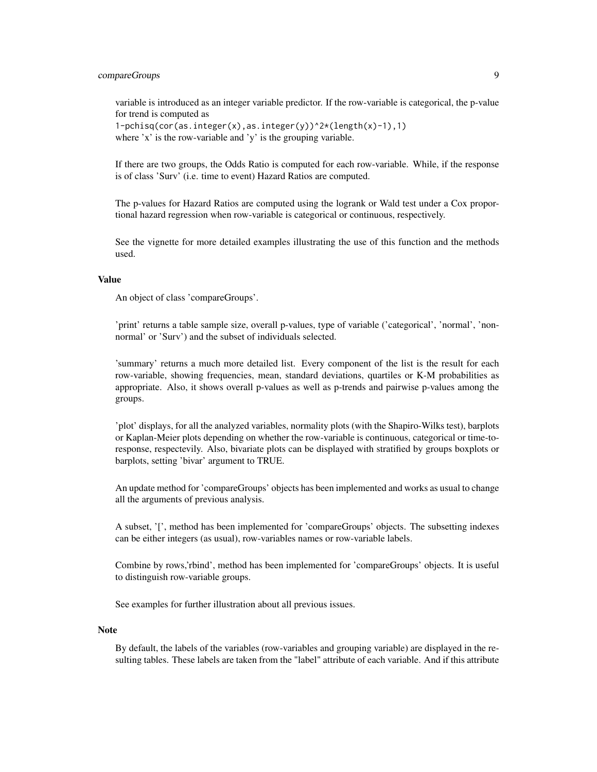# compareGroups 9

variable is introduced as an integer variable predictor. If the row-variable is categorical, the p-value for trend is computed as

 $1-pchisq(cor(as.integer(x),as.integer(y))^2*(length(x)-1),1)$ where 'x' is the row-variable and 'y' is the grouping variable.

If there are two groups, the Odds Ratio is computed for each row-variable. While, if the response is of class 'Surv' (i.e. time to event) Hazard Ratios are computed.

The p-values for Hazard Ratios are computed using the logrank or Wald test under a Cox proportional hazard regression when row-variable is categorical or continuous, respectively.

See the vignette for more detailed examples illustrating the use of this function and the methods used.

### Value

An object of class 'compareGroups'.

'print' returns a table sample size, overall p-values, type of variable ('categorical', 'normal', 'nonnormal' or 'Surv') and the subset of individuals selected.

'summary' returns a much more detailed list. Every component of the list is the result for each row-variable, showing frequencies, mean, standard deviations, quartiles or K-M probabilities as appropriate. Also, it shows overall p-values as well as p-trends and pairwise p-values among the groups.

'plot' displays, for all the analyzed variables, normality plots (with the Shapiro-Wilks test), barplots or Kaplan-Meier plots depending on whether the row-variable is continuous, categorical or time-toresponse, respectevily. Also, bivariate plots can be displayed with stratified by groups boxplots or barplots, setting 'bivar' argument to TRUE.

An update method for 'compareGroups' objects has been implemented and works as usual to change all the arguments of previous analysis.

A subset, '[', method has been implemented for 'compareGroups' objects. The subsetting indexes can be either integers (as usual), row-variables names or row-variable labels.

Combine by rows,'rbind', method has been implemented for 'compareGroups' objects. It is useful to distinguish row-variable groups.

See examples for further illustration about all previous issues.

#### Note

By default, the labels of the variables (row-variables and grouping variable) are displayed in the resulting tables. These labels are taken from the "label" attribute of each variable. And if this attribute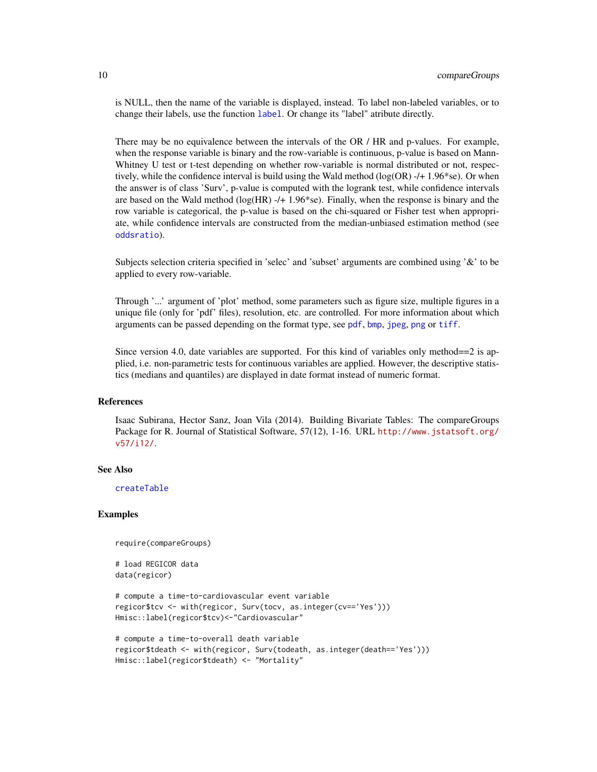<span id="page-9-0"></span>is NULL, then the name of the variable is displayed, instead. To label non-labeled variables, or to change their labels, use the function [label](#page-0-0). Or change its "label" atribute directly.

There may be no equivalence between the intervals of the OR / HR and p-values. For example, when the response variable is binary and the row-variable is continuous, p-value is based on Mann-Whitney U test or t-test depending on whether row-variable is normal distributed or not, respectively, while the confidence interval is build using the Wald method (log(OR) -/+ 1.96\*se). Or when the answer is of class 'Surv', p-value is computed with the logrank test, while confidence intervals are based on the Wald method ( $log(HR)$  -/+ 1.96\*se). Finally, when the response is binary and the row variable is categorical, the p-value is based on the chi-squared or Fisher test when appropriate, while confidence intervals are constructed from the median-unbiased estimation method (see [oddsratio](#page-0-0)).

Subjects selection criteria specified in 'selec' and 'subset' arguments are combined using '&' to be applied to every row-variable.

Through '...' argument of 'plot' method, some parameters such as figure size, multiple figures in a unique file (only for 'pdf' files), resolution, etc. are controlled. For more information about which arguments can be passed depending on the format type, see [pdf](#page-0-0), [bmp](#page-0-0), [jpeg](#page-0-0), [png](#page-0-0) or [tiff](#page-0-0).

Since version 4.0, date variables are supported. For this kind of variables only method==2 is applied, i.e. non-parametric tests for continuous variables are applied. However, the descriptive statistics (medians and quantiles) are displayed in date format instead of numeric format.

# References

Isaac Subirana, Hector Sanz, Joan Vila (2014). Building Bivariate Tables: The compareGroups Package for R. Journal of Statistical Software, 57(12), 1-16. URL [http://www.jstatsoft.org/](http://www.jstatsoft.org/v57/i12/) [v57/i12/](http://www.jstatsoft.org/v57/i12/).

#### See Also

[createTable](#page-13-1)

#### Examples

```
require(compareGroups)
```

```
# load REGICOR data
data(regicor)
```

```
# compute a time-to-cardiovascular event variable
regicor$tcv <- with(regicor, Surv(tocv, as.integer(cv=='Yes')))
Hmisc::label(regicor$tcv)<-"Cardiovascular"
```

```
# compute a time-to-overall death variable
regicor$tdeath <- with(regicor, Surv(todeath, as.integer(death=='Yes')))
Hmisc::label(regicor$tdeath) <- "Mortality"
```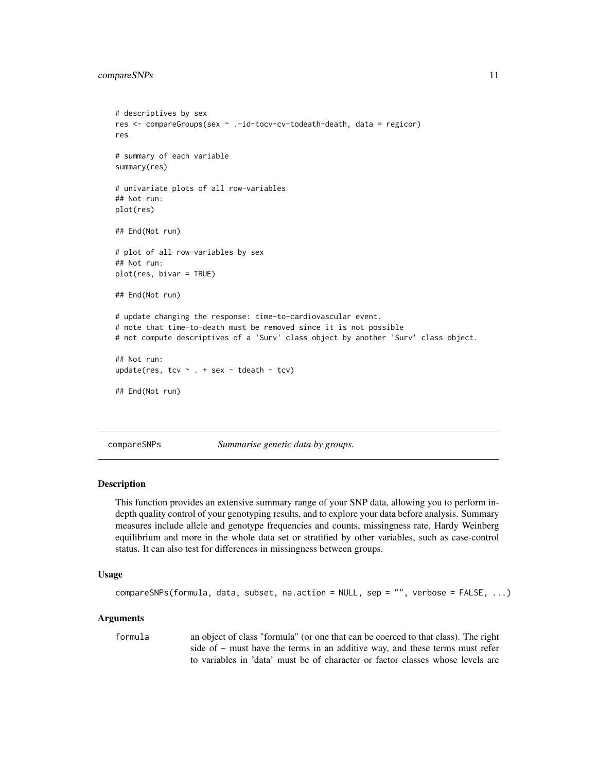# <span id="page-10-0"></span>compareSNPs 11

```
# descriptives by sex
res <- compareGroups(sex ~ .-id-tocv-cv-todeath-death, data = regicor)
res
# summary of each variable
summary(res)
# univariate plots of all row-variables
## Not run:
plot(res)
## End(Not run)
# plot of all row-variables by sex
## Not run:
plot(res, bivar = TRUE)
## End(Not run)
# update changing the response: time-to-cardiovascular event.
# note that time-to-death must be removed since it is not possible
# not compute descriptives of a 'Surv' class object by another 'Surv' class object.
## Not run:
update(res, tcv \sim . + sex - tdeath - tcv)
## End(Not run)
```
<span id="page-10-1"></span>compareSNPs *Summarise genetic data by groups.*

#### Description

This function provides an extensive summary range of your SNP data, allowing you to perform indepth quality control of your genotyping results, and to explore your data before analysis. Summary measures include allele and genotype frequencies and counts, missingness rate, Hardy Weinberg equilibrium and more in the whole data set or stratified by other variables, such as case-control status. It can also test for differences in missingness between groups.

#### Usage

```
compareSNPs(formula, data, subset, na.action = NULL, sep = "", verbose = FALSE, ...)
```
#### **Arguments**

formula an object of class "formula" (or one that can be coerced to that class). The right side of  $\sim$  must have the terms in an additive way, and these terms must refer to variables in 'data' must be of character or factor classes whose levels are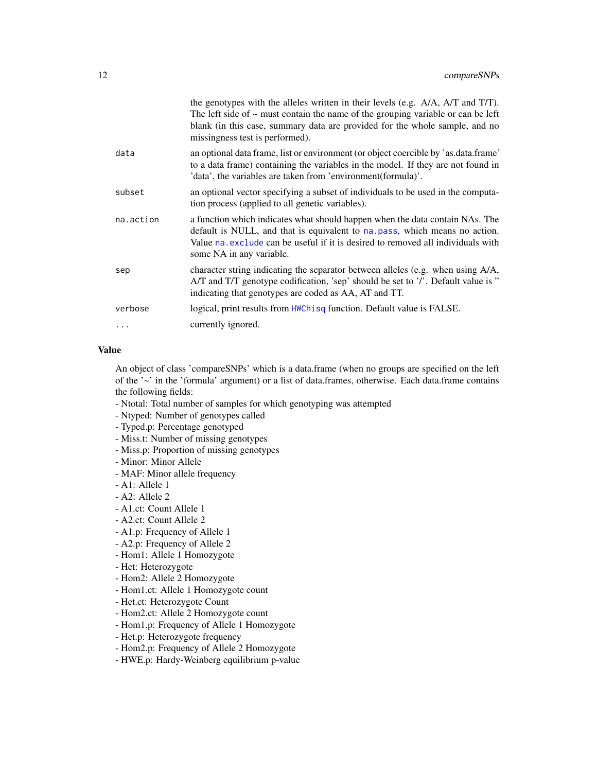<span id="page-11-0"></span>

|           | the genotypes with the alleles written in their levels (e.g. A/A, A/T and T/T).<br>The left side of $\sim$ must contain the name of the grouping variable or can be left<br>blank (in this case, summary data are provided for the whole sample, and no<br>missingness test is performed). |
|-----------|--------------------------------------------------------------------------------------------------------------------------------------------------------------------------------------------------------------------------------------------------------------------------------------------|
| data      | an optional data frame, list or environment (or object coercible by 'as.data.frame'<br>to a data frame) containing the variables in the model. If they are not found in<br>'data', the variables are taken from 'environment(formula)'.                                                    |
| subset    | an optional vector specifying a subset of individuals to be used in the computa-<br>tion process (applied to all genetic variables).                                                                                                                                                       |
| na.action | a function which indicates what should happen when the data contain NAs. The<br>default is NULL, and that is equivalent to na. pass, which means no action.<br>Value na exclude can be useful if it is desired to removed all individuals with<br>some NA in any variable.                 |
| sep       | character string indicating the separator between alleles (e.g. when using A/A,<br>A/T and T/T genotype codification, 'sep' should be set to '/'. Default value is "<br>indicating that genotypes are coded as AA, AT and TT.                                                              |
| verbose   | logical, print results from HWChisq function. Default value is FALSE.                                                                                                                                                                                                                      |
|           | currently ignored.                                                                                                                                                                                                                                                                         |
|           |                                                                                                                                                                                                                                                                                            |

# Value

An object of class 'compareSNPs' which is a data.frame (when no groups are specified on the left of the '~' in the 'formula' argument) or a list of data.frames, otherwise. Each data.frame contains the following fields:

- Ntotal: Total number of samples for which genotyping was attempted
- Ntyped: Number of genotypes called
- Typed.p: Percentage genotyped
- Miss.t: Number of missing genotypes
- Miss.p: Proportion of missing genotypes
- Minor: Minor Allele
- MAF: Minor allele frequency
- A1: Allele 1
- A2: Allele 2
- A1.ct: Count Allele 1
- A2.ct: Count Allele 2
- A1.p: Frequency of Allele 1
- A2.p: Frequency of Allele 2
- Hom1: Allele 1 Homozygote
- Het: Heterozygote
- Hom2: Allele 2 Homozygote
- Hom1.ct: Allele 1 Homozygote count
- Het.ct: Heterozygote Count
- Hom2.ct: Allele 2 Homozygote count
- Hom1.p: Frequency of Allele 1 Homozygote
- Het.p: Heterozygote frequency
- Hom2.p: Frequency of Allele 2 Homozygote
- HWE.p: Hardy-Weinberg equilibrium p-value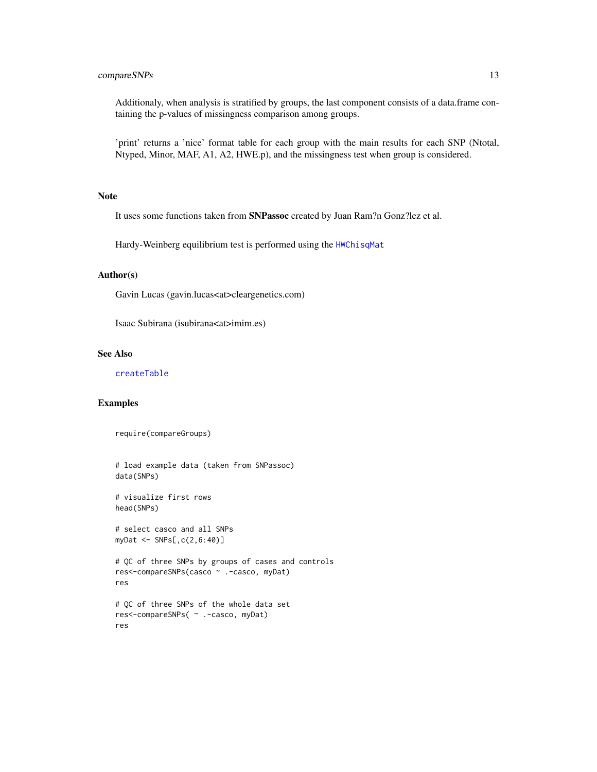# <span id="page-12-0"></span>compareSNPs 13

Additionaly, when analysis is stratified by groups, the last component consists of a data.frame containing the p-values of missingness comparison among groups.

'print' returns a 'nice' format table for each group with the main results for each SNP (Ntotal, Ntyped, Minor, MAF, A1, A2, HWE.p), and the missingness test when group is considered.

# Note

It uses some functions taken from SNPassoc created by Juan Ram?n Gonz?lez et al.

Hardy-Weinberg equilibrium test is performed using the [HWChisqMat](#page-0-0)

#### Author(s)

Gavin Lucas (gavin.lucas<at>cleargenetics.com)

Isaac Subirana (isubirana<at>imim.es)

# See Also

[createTable](#page-13-1)

#### Examples

require(compareGroups)

```
# load example data (taken from SNPassoc)
data(SNPs)
# visualize first rows
head(SNPs)
# select casco and all SNPs
myDat <- SNPs[,c(2,6:40)]
# QC of three SNPs by groups of cases and controls
res<-compareSNPs(casco ~ .-casco, myDat)
res
# QC of three SNPs of the whole data set
res<-compareSNPs( ~ .-casco, myDat)
res
```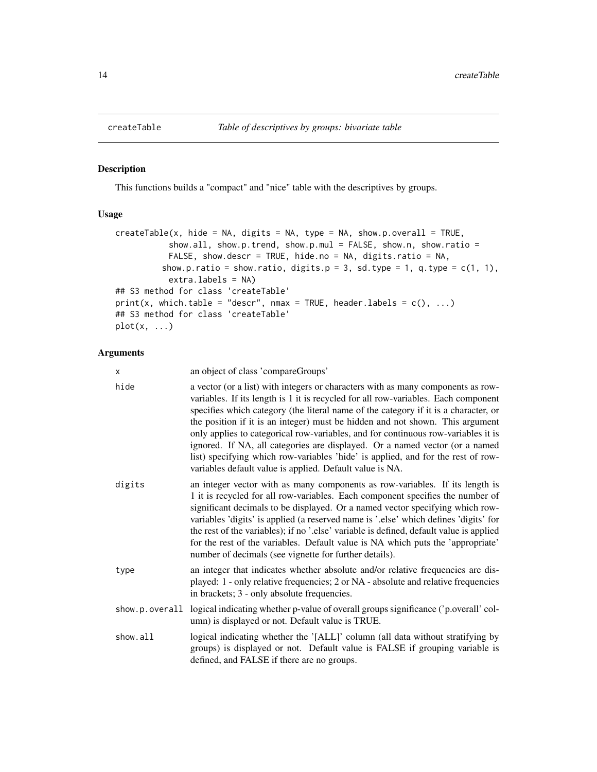<span id="page-13-1"></span><span id="page-13-0"></span>

#### <span id="page-13-2"></span>Description

This functions builds a "compact" and "nice" table with the descriptives by groups.

# Usage

```
createTable(x, hide = NA, digits = NA, type = NA, show.p.overall = TRUE,
           show.all, show.p.trend, show.p.mul = FALSE, show.n, show.ratio =
           FALSE, show.descr = TRUE, hide.no = NA, digits.ratio = NA,
         show.p.ratio = show.ratio, digits.p = 3, sd.type = 1, q.type = c(1, 1),
           extra.labels = NA)
## S3 method for class 'createTable'
print(x, which.table = "descr", nmax = TRUE, header.labels = c(), ...)
## S3 method for class 'createTable'
plot(x, \ldots)
```
# Arguments

| $\times$       | an object of class 'compareGroups'                                                                                                                                                                                                                                                                                                                                                                                                                                                                                                                                                                                                                                 |
|----------------|--------------------------------------------------------------------------------------------------------------------------------------------------------------------------------------------------------------------------------------------------------------------------------------------------------------------------------------------------------------------------------------------------------------------------------------------------------------------------------------------------------------------------------------------------------------------------------------------------------------------------------------------------------------------|
| hide           | a vector (or a list) with integers or characters with as many components as row-<br>variables. If its length is 1 it is recycled for all row-variables. Each component<br>specifies which category (the literal name of the category if it is a character, or<br>the position if it is an integer) must be hidden and not shown. This argument<br>only applies to categorical row-variables, and for continuous row-variables it is<br>ignored. If NA, all categories are displayed. Or a named vector (or a named<br>list) specifying which row-variables 'hide' is applied, and for the rest of row-<br>variables default value is applied. Default value is NA. |
| digits         | an integer vector with as many components as row-variables. If its length is<br>1 it is recycled for all row-variables. Each component specifies the number of<br>significant decimals to be displayed. Or a named vector specifying which row-<br>variables 'digits' is applied (a reserved name is '.else' which defines 'digits' for<br>the rest of the variables); if no '.else' variable is defined, default value is applied<br>for the rest of the variables. Default value is NA which puts the 'appropriate'<br>number of decimals (see vignette for further details).                                                                                    |
| type           | an integer that indicates whether absolute and/or relative frequencies are dis-<br>played: 1 - only relative frequencies; 2 or NA - absolute and relative frequencies<br>in brackets; 3 - only absolute frequencies.                                                                                                                                                                                                                                                                                                                                                                                                                                               |
| show.p.overall | logical indicating whether p-value of overall groups significance ('p.overall' col-<br>umn) is displayed or not. Default value is TRUE.                                                                                                                                                                                                                                                                                                                                                                                                                                                                                                                            |
| show.all       | logical indicating whether the '[ALL]' column (all data without stratifying by<br>groups) is displayed or not. Default value is FALSE if grouping variable is<br>defined, and FALSE if there are no groups.                                                                                                                                                                                                                                                                                                                                                                                                                                                        |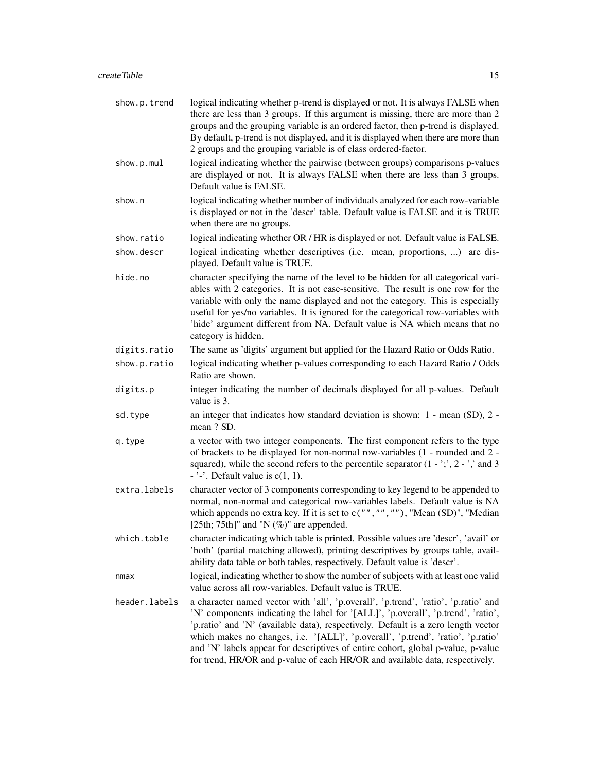| show.p.trend  | logical indicating whether p-trend is displayed or not. It is always FALSE when<br>there are less than 3 groups. If this argument is missing, there are more than 2<br>groups and the grouping variable is an ordered factor, then p-trend is displayed.<br>By default, p-trend is not displayed, and it is displayed when there are more than<br>2 groups and the grouping variable is of class ordered-factor.                                                                                                      |
|---------------|-----------------------------------------------------------------------------------------------------------------------------------------------------------------------------------------------------------------------------------------------------------------------------------------------------------------------------------------------------------------------------------------------------------------------------------------------------------------------------------------------------------------------|
| show.p.mul    | logical indicating whether the pairwise (between groups) comparisons p-values<br>are displayed or not. It is always FALSE when there are less than 3 groups.<br>Default value is FALSE.                                                                                                                                                                                                                                                                                                                               |
| show.n        | logical indicating whether number of individuals analyzed for each row-variable<br>is displayed or not in the 'descr' table. Default value is FALSE and it is TRUE<br>when there are no groups.                                                                                                                                                                                                                                                                                                                       |
| show.ratio    | logical indicating whether OR / HR is displayed or not. Default value is FALSE.                                                                                                                                                                                                                                                                                                                                                                                                                                       |
| show.descr    | logical indicating whether descriptives (i.e. mean, proportions, ) are dis-<br>played. Default value is TRUE.                                                                                                                                                                                                                                                                                                                                                                                                         |
| hide.no       | character specifying the name of the level to be hidden for all categorical vari-<br>ables with 2 categories. It is not case-sensitive. The result is one row for the<br>variable with only the name displayed and not the category. This is especially<br>useful for yes/no variables. It is ignored for the categorical row-variables with<br>'hide' argument different from NA. Default value is NA which means that no<br>category is hidden.                                                                     |
| digits.ratio  | The same as 'digits' argument but applied for the Hazard Ratio or Odds Ratio.                                                                                                                                                                                                                                                                                                                                                                                                                                         |
| show.p.ratio  | logical indicating whether p-values corresponding to each Hazard Ratio / Odds<br>Ratio are shown.                                                                                                                                                                                                                                                                                                                                                                                                                     |
| digits.p      | integer indicating the number of decimals displayed for all p-values. Default<br>value is 3.                                                                                                                                                                                                                                                                                                                                                                                                                          |
| sd.type       | an integer that indicates how standard deviation is shown: 1 - mean (SD), 2 -<br>mean ? SD.                                                                                                                                                                                                                                                                                                                                                                                                                           |
| q.type        | a vector with two integer components. The first component refers to the type<br>of brackets to be displayed for non-normal row-variables (1 - rounded and 2 -<br>squared), while the second refers to the percentile separator $(1 - \cdot; \cdot, 2 - \cdot)$ and 3<br>$ \cdot$ $\cdot$ $\cdot$ Default value is c(1, 1).                                                                                                                                                                                            |
| extra.labels  | character vector of 3 components corresponding to key legend to be appended to<br>normal, non-normal and categorical row-variables labels. Default value is NA<br>which appends no extra key. If it is set to $c("", "", "")$ , "Mean (SD)", "Median<br>[25th; 75th]" and "N $(\%)$ " are appended.                                                                                                                                                                                                                   |
| which.table   | character indicating which table is printed. Possible values are 'descr', 'avail' or<br>'both' (partial matching allowed), printing descriptives by groups table, avail-<br>ability data table or both tables, respectively. Default value is 'descr'.                                                                                                                                                                                                                                                                |
| nmax          | logical, indicating whether to show the number of subjects with at least one valid<br>value across all row-variables. Default value is TRUE.                                                                                                                                                                                                                                                                                                                                                                          |
| header.labels | a character named vector with 'all', 'p.overall', 'p.trend', 'ratio', 'p.ratio' and<br>'N' components indicating the label for '[ALL]', 'p.overall', 'p.trend', 'ratio',<br>'p.ratio' and 'N' (available data), respectively. Default is a zero length vector<br>which makes no changes, i.e. '[ALL]', 'p.overall', 'p.trend', 'ratio', 'p.ratio'<br>and 'N' labels appear for descriptives of entire cohort, global p-value, p-value<br>for trend, HR/OR and p-value of each HR/OR and available data, respectively. |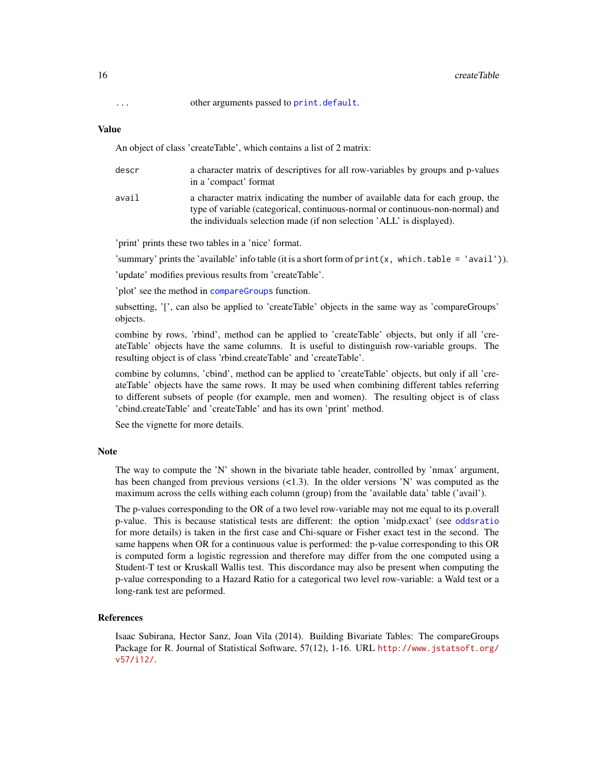<span id="page-15-0"></span>... other arguments passed to [print.default](#page-0-0).

# Value

An object of class 'createTable', which contains a list of 2 matrix:

| descr | a character matrix of descriptives for all row-variables by groups and p-values<br>in a 'compact' format                                                                                                                                  |
|-------|-------------------------------------------------------------------------------------------------------------------------------------------------------------------------------------------------------------------------------------------|
| avail | a character matrix indicating the number of available data for each group, the<br>type of variable (categorical, continuous-normal or continuous-non-normal) and<br>the individuals selection made (if non selection 'ALL' is displayed). |

'print' prints these two tables in a 'nice' format.

'summary' prints the 'available' info table (it is a short form of  $print(x, which-table = 'avail'))$ ).

'update' modifies previous results from 'createTable'.

'plot' see the method in [compareGroups](#page-4-1) function.

subsetting, '[', can also be applied to 'createTable' objects in the same way as 'compareGroups' objects.

combine by rows, 'rbind', method can be applied to 'createTable' objects, but only if all 'createTable' objects have the same columns. It is useful to distinguish row-variable groups. The resulting object is of class 'rbind.createTable' and 'createTable'.

combine by columns, 'cbind', method can be applied to 'createTable' objects, but only if all 'createTable' objects have the same rows. It may be used when combining different tables referring to different subsets of people (for example, men and women). The resulting object is of class 'cbind.createTable' and 'createTable' and has its own 'print' method.

See the vignette for more details.

# Note

The way to compute the 'N' shown in the bivariate table header, controlled by 'nmax' argument, has been changed from previous versions  $\leq$ 1.3). In the older versions 'N' was computed as the maximum across the cells withing each column (group) from the 'available data' table ('avail').

The p-values corresponding to the OR of a two level row-variable may not me equal to its p.overall p-value. This is because statistical tests are different: the option 'midp.exact' (see [oddsratio](#page-0-0) for more details) is taken in the first case and Chi-square or Fisher exact test in the second. The same happens when OR for a continuous value is performed: the p-value corresponding to this OR is computed form a logistic regression and therefore may differ from the one computed using a Student-T test or Kruskall Wallis test. This discordance may also be present when computing the p-value corresponding to a Hazard Ratio for a categorical two level row-variable: a Wald test or a long-rank test are peformed.

#### References

Isaac Subirana, Hector Sanz, Joan Vila (2014). Building Bivariate Tables: The compareGroups Package for R. Journal of Statistical Software, 57(12), 1-16. URL [http://www.jstatsoft.org/](http://www.jstatsoft.org/v57/i12/) [v57/i12/](http://www.jstatsoft.org/v57/i12/).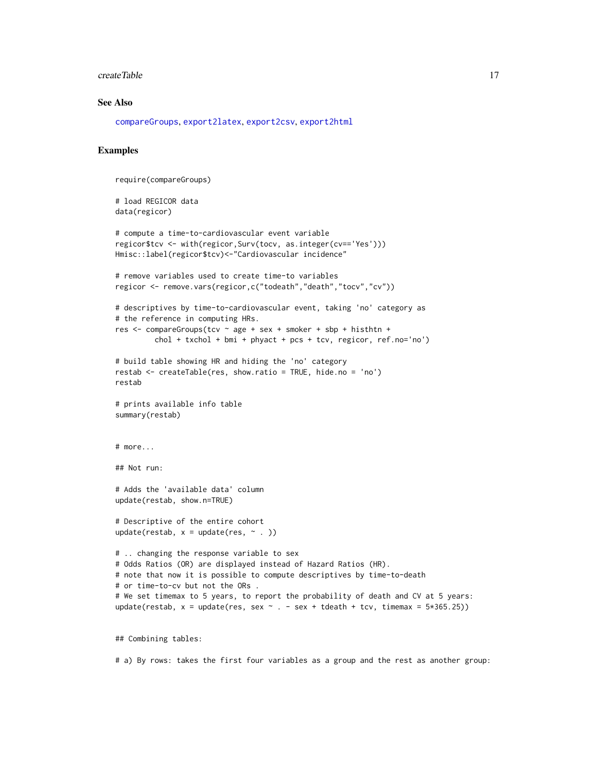#### <span id="page-16-0"></span>createTable 17

#### See Also

[compareGroups](#page-4-1), [export2latex](#page-24-1), [export2csv](#page-22-1), [export2html](#page-23-1)

# Examples

require(compareGroups)

```
# load REGICOR data
data(regicor)
```

```
# compute a time-to-cardiovascular event variable
regicor$tcv <- with(regicor,Surv(tocv, as.integer(cv=='Yes')))
Hmisc::label(regicor$tcv)<-"Cardiovascular incidence"
```

```
# remove variables used to create time-to variables
regicor <- remove.vars(regicor,c("todeath","death","tocv","cv"))
```

```
# descriptives by time-to-cardiovascular event, taking 'no' category as
# the reference in computing HRs.
res <- compareGroups(tcv ~ age + sex + smoker + sbp + histhtn +
```

```
chol + txchol + bmi + phyact + pcs + tcv, regicor, ref.no='no')
```

```
# build table showing HR and hiding the 'no' category
restab <- createTable(res, show.ratio = TRUE, hide.no = 'no')
restab
```

```
# prints available info table
summary(restab)
```

```
# more...
```
## Not run:

```
# Adds the 'available data' column
update(restab, show.n=TRUE)
```

```
# Descriptive of the entire cohort
update(restab, x = update(res, ~ ~ ~ ~ ))
```

```
# .. changing the response variable to sex
# Odds Ratios (OR) are displayed instead of Hazard Ratios (HR).
# note that now it is possible to compute descriptives by time-to-death
# or time-to-cv but not the ORs .
# We set timemax to 5 years, to report the probability of death and CV at 5 years:
update(restab, x = update(res, sex ~ - . - sex + tdeath + tcv, timemax = <math>5*365.25</math>)
```
## Combining tables:

# a) By rows: takes the first four variables as a group and the rest as another group: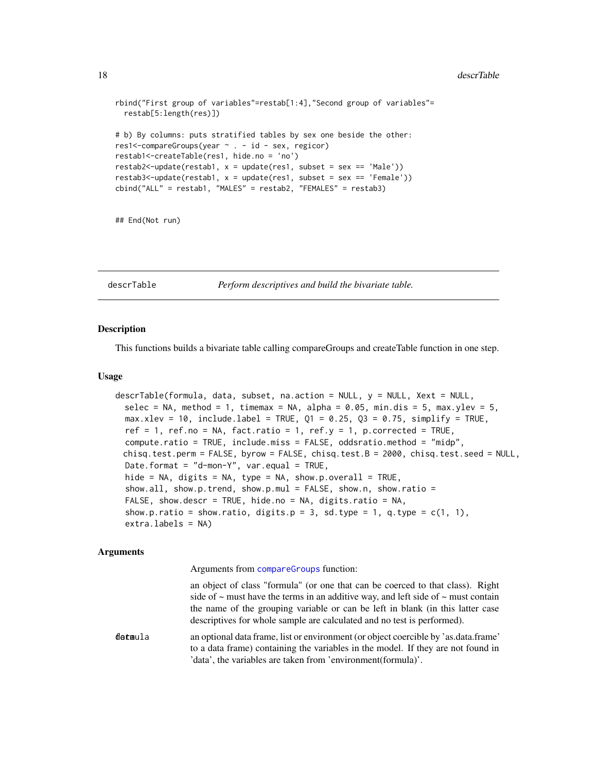```
rbind("First group of variables"=restab[1:4],"Second group of variables"=
 restab[5:length(res)])
# b) By columns: puts stratified tables by sex one beside the other:
res1<-compareGroups(year ~ . - id - sex, regicor)
restab1<-createTable(res1, hide.no = 'no')
restab2<-update(restab1, x = update(res1, subset = sex == 'Male'))
restab3 < \text{update} (restab1, x = update(res1, subset = sex == 'Female'))cbind("ALL" = restab1, "MALES" = restab2, "FEMALES" = restab3)
```
## End(Not run)

<span id="page-17-1"></span>descrTable *Perform descriptives and build the bivariate table.*

#### **Description**

This functions builds a bivariate table calling compareGroups and createTable function in one step.

### Usage

```
descrTable(formula, data, subset, na.action = NULL, y = NULL, Xext = NULL,
 selec = NA, method = 1, timemax = NA, alpha = 0.05, min.dis = 5, max.ylev = 5,
 max.xlev = 10, include.label = TRUE, Q1 = 0.25, Q3 = 0.75, simplify = TRUE,
 ref = 1, ref.no = NA, fact.ratio = 1, ref.y = 1, p.corrected = TRUE,
 compute.ratio = TRUE, include.miss = FALSE, oddsratio.method = "midp",
 chisq.test.perm = FALSE, byrow = FALSE, chisq.test.B = 2000, chisq.test.seed = NULL,
 Date.format = "d-mon-Y", var.equal = TRUE,
 hide = NA, digits = NA, type = NA, show.p.overall = TRUE,
 show.all, show.p.trend, show.p.mul = FALSE, show.n, show.ratio =
 FALSE, show.descr = TRUE, hide.no = NA, digits.ratio = NA,
 show.p.ratio = show.ratio, digits.p = 3, sd.type = 1, q.type = c(1, 1),
 extra.labels = NA)
```
#### Arguments

Arguments from [compareGroups](#page-4-1) function:

an object of class "formula" (or one that can be coerced to that class). Right side of  $\sim$  must have the terms in an additive way, and left side of  $\sim$  must contain the name of the grouping variable or can be left in blank (in this latter case descriptives for whole sample are calculated and no test is performed).

formula data an optional data frame, list or environment (or object coercible by 'as.data.frame' to a data frame) containing the variables in the model. If they are not found in 'data', the variables are taken from 'environment(formula)'.

<span id="page-17-0"></span>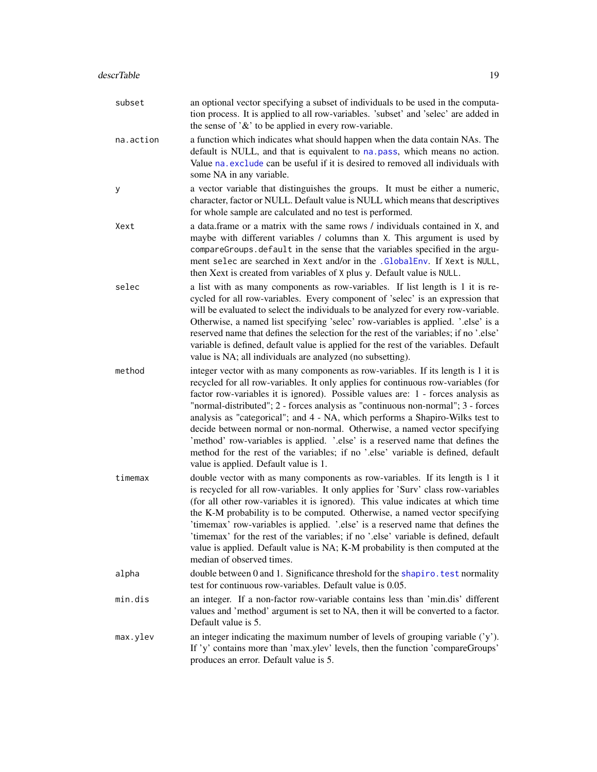<span id="page-18-0"></span>

| subset    | an optional vector specifying a subset of individuals to be used in the computa-<br>tion process. It is applied to all row-variables. 'subset' and 'selec' are added in<br>the sense of $\mathcal{X}$ to be applied in every row-variable.                                                                                                                                                                                                                                                                                                                                                                                                                                                                                  |
|-----------|-----------------------------------------------------------------------------------------------------------------------------------------------------------------------------------------------------------------------------------------------------------------------------------------------------------------------------------------------------------------------------------------------------------------------------------------------------------------------------------------------------------------------------------------------------------------------------------------------------------------------------------------------------------------------------------------------------------------------------|
| na.action | a function which indicates what should happen when the data contain NAs. The<br>default is NULL, and that is equivalent to na. pass, which means no action.<br>Value na. exclude can be useful if it is desired to removed all individuals with<br>some NA in any variable.                                                                                                                                                                                                                                                                                                                                                                                                                                                 |
| у         | a vector variable that distinguishes the groups. It must be either a numeric,<br>character, factor or NULL. Default value is NULL which means that descriptives<br>for whole sample are calculated and no test is performed.                                                                                                                                                                                                                                                                                                                                                                                                                                                                                                |
| Xext      | a data.frame or a matrix with the same rows / individuals contained in X, and<br>maybe with different variables / columns than X. This argument is used by<br>compareGroups.default in the sense that the variables specified in the argu-<br>ment selec are searched in Xext and/or in the .GlobalEnv. If Xext is NULL,<br>then Xext is created from variables of X plus y. Default value is NULL.                                                                                                                                                                                                                                                                                                                         |
| selec     | a list with as many components as row-variables. If list length is 1 it is re-<br>cycled for all row-variables. Every component of 'selec' is an expression that<br>will be evaluated to select the individuals to be analyzed for every row-variable.<br>Otherwise, a named list specifying 'selec' row-variables is applied. '.else' is a<br>reserved name that defines the selection for the rest of the variables; if no '.else'<br>variable is defined, default value is applied for the rest of the variables. Default<br>value is NA; all individuals are analyzed (no subsetting).                                                                                                                                  |
| method    | integer vector with as many components as row-variables. If its length is 1 it is<br>recycled for all row-variables. It only applies for continuous row-variables (for<br>factor row-variables it is ignored). Possible values are: 1 - forces analysis as<br>"normal-distributed"; 2 - forces analysis as "continuous non-normal"; 3 - forces<br>analysis as "categorical"; and 4 - NA, which performs a Shapiro-Wilks test to<br>decide between normal or non-normal. Otherwise, a named vector specifying<br>'method' row-variables is applied. '.else' is a reserved name that defines the<br>method for the rest of the variables; if no '.else' variable is defined, default<br>value is applied. Default value is 1. |
| timemax   | double vector with as many components as row-variables. If its length is 1 it<br>is recycled for all row-variables. It only applies for 'Surv' class row-variables<br>(for all other row-variables it is ignored). This value indicates at which time<br>the K-M probability is to be computed. Otherwise, a named vector specifying<br>'timemax' row-variables is applied. 'else' is a reserved name that defines the<br>'timemax' for the rest of the variables; if no '.else' variable is defined, default<br>value is applied. Default value is NA; K-M probability is then computed at the<br>median of observed times.                                                                                                |
| alpha     | double between 0 and 1. Significance threshold for the shapiro. test normality<br>test for continuous row-variables. Default value is 0.05.                                                                                                                                                                                                                                                                                                                                                                                                                                                                                                                                                                                 |
| min.dis   | an integer. If a non-factor row-variable contains less than 'min.dis' different<br>values and 'method' argument is set to NA, then it will be converted to a factor.<br>Default value is 5.                                                                                                                                                                                                                                                                                                                                                                                                                                                                                                                                 |
| max.ylev  | an integer indicating the maximum number of levels of grouping variable $(y')$ .<br>If 'y' contains more than 'max.ylev' levels, then the function 'compareGroups'<br>produces an error. Default value is 5.                                                                                                                                                                                                                                                                                                                                                                                                                                                                                                                |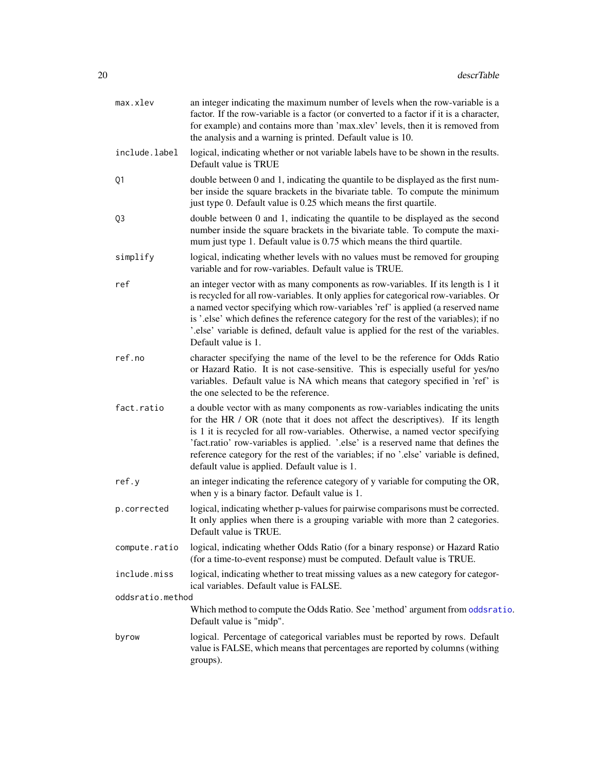<span id="page-19-0"></span>

| max.xlev         | an integer indicating the maximum number of levels when the row-variable is a<br>factor. If the row-variable is a factor (or converted to a factor if it is a character,<br>for example) and contains more than 'max.xlev' levels, then it is removed from<br>the analysis and a warning is printed. Default value is 10.                                                                                                                                                         |
|------------------|-----------------------------------------------------------------------------------------------------------------------------------------------------------------------------------------------------------------------------------------------------------------------------------------------------------------------------------------------------------------------------------------------------------------------------------------------------------------------------------|
| include.label    | logical, indicating whether or not variable labels have to be shown in the results.<br>Default value is TRUE                                                                                                                                                                                                                                                                                                                                                                      |
| Q1               | double between 0 and 1, indicating the quantile to be displayed as the first num-<br>ber inside the square brackets in the bivariate table. To compute the minimum<br>just type 0. Default value is 0.25 which means the first quartile.                                                                                                                                                                                                                                          |
| Q3               | double between 0 and 1, indicating the quantile to be displayed as the second<br>number inside the square brackets in the bivariate table. To compute the maxi-<br>mum just type 1. Default value is 0.75 which means the third quartile.                                                                                                                                                                                                                                         |
| simplify         | logical, indicating whether levels with no values must be removed for grouping<br>variable and for row-variables. Default value is TRUE.                                                                                                                                                                                                                                                                                                                                          |
| ref              | an integer vector with as many components as row-variables. If its length is 1 it<br>is recycled for all row-variables. It only applies for categorical row-variables. Or<br>a named vector specifying which row-variables 'ref' is applied (a reserved name<br>is '.else' which defines the reference category for the rest of the variables); if no<br>'.else' variable is defined, default value is applied for the rest of the variables.<br>Default value is 1.              |
| ref.no           | character specifying the name of the level to be the reference for Odds Ratio<br>or Hazard Ratio. It is not case-sensitive. This is especially useful for yes/no<br>variables. Default value is NA which means that category specified in 'ref' is<br>the one selected to be the reference.                                                                                                                                                                                       |
| fact.ratio       | a double vector with as many components as row-variables indicating the units<br>for the HR / OR (note that it does not affect the descriptives). If its length<br>is 1 it is recycled for all row-variables. Otherwise, a named vector specifying<br>'fact.ratio' row-variables is applied. '.else' is a reserved name that defines the<br>reference category for the rest of the variables; if no '.else' variable is defined,<br>default value is applied. Default value is 1. |
| ref.y            | an integer indicating the reference category of y variable for computing the OR,<br>when y is a binary factor. Default value is 1.                                                                                                                                                                                                                                                                                                                                                |
| p.corrected      | logical, indicating whether p-values for pairwise comparisons must be corrected.<br>It only applies when there is a grouping variable with more than 2 categories.<br>Default value is TRUE.                                                                                                                                                                                                                                                                                      |
| compute.ratio    | logical, indicating whether Odds Ratio (for a binary response) or Hazard Ratio<br>(for a time-to-event response) must be computed. Default value is TRUE.                                                                                                                                                                                                                                                                                                                         |
| include.miss     | logical, indicating whether to treat missing values as a new category for categor-<br>ical variables. Default value is FALSE.                                                                                                                                                                                                                                                                                                                                                     |
| oddsratio.method |                                                                                                                                                                                                                                                                                                                                                                                                                                                                                   |
|                  | Which method to compute the Odds Ratio. See 'method' argument from oddsratio.<br>Default value is "midp".                                                                                                                                                                                                                                                                                                                                                                         |
| byrow            | logical. Percentage of categorical variables must be reported by rows. Default<br>value is FALSE, which means that percentages are reported by columns (withing<br>groups).                                                                                                                                                                                                                                                                                                       |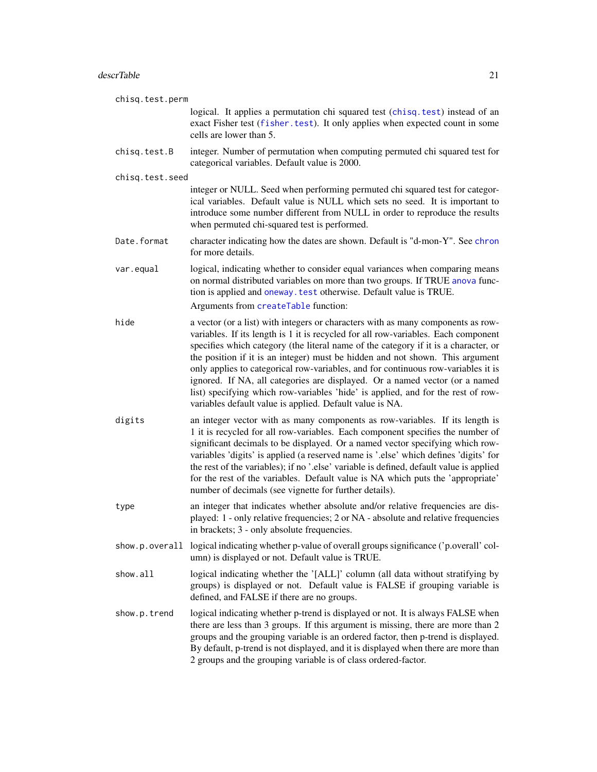<span id="page-20-0"></span>

| chisq.test.perm |                                                                                                                                                                                                                                                                                                                                                                                                                                                                                                                                                                                                                                                                    |  |
|-----------------|--------------------------------------------------------------------------------------------------------------------------------------------------------------------------------------------------------------------------------------------------------------------------------------------------------------------------------------------------------------------------------------------------------------------------------------------------------------------------------------------------------------------------------------------------------------------------------------------------------------------------------------------------------------------|--|
|                 | logical. It applies a permutation chi squared test (chisq.test) instead of an<br>exact Fisher test (fisher.test). It only applies when expected count in some<br>cells are lower than 5.                                                                                                                                                                                                                                                                                                                                                                                                                                                                           |  |
| chisq.test.B    | integer. Number of permutation when computing permuted chi squared test for<br>categorical variables. Default value is 2000.                                                                                                                                                                                                                                                                                                                                                                                                                                                                                                                                       |  |
| chisq.test.seed |                                                                                                                                                                                                                                                                                                                                                                                                                                                                                                                                                                                                                                                                    |  |
|                 | integer or NULL. Seed when performing permuted chi squared test for categor-<br>ical variables. Default value is NULL which sets no seed. It is important to<br>introduce some number different from NULL in order to reproduce the results<br>when permuted chi-squared test is performed.                                                                                                                                                                                                                                                                                                                                                                        |  |
| Date.format     | character indicating how the dates are shown. Default is "d-mon-Y". See chron<br>for more details.                                                                                                                                                                                                                                                                                                                                                                                                                                                                                                                                                                 |  |
| var.equal       | logical, indicating whether to consider equal variances when comparing means<br>on normal distributed variables on more than two groups. If TRUE anova func-<br>tion is applied and oneway. test otherwise. Default value is TRUE.<br>Arguments from createTable function:                                                                                                                                                                                                                                                                                                                                                                                         |  |
| hide            | a vector (or a list) with integers or characters with as many components as row-<br>variables. If its length is 1 it is recycled for all row-variables. Each component<br>specifies which category (the literal name of the category if it is a character, or<br>the position if it is an integer) must be hidden and not shown. This argument<br>only applies to categorical row-variables, and for continuous row-variables it is<br>ignored. If NA, all categories are displayed. Or a named vector (or a named<br>list) specifying which row-variables 'hide' is applied, and for the rest of row-<br>variables default value is applied. Default value is NA. |  |
| digits          | an integer vector with as many components as row-variables. If its length is<br>1 it is recycled for all row-variables. Each component specifies the number of<br>significant decimals to be displayed. Or a named vector specifying which row-<br>variables 'digits' is applied (a reserved name is '.else' which defines 'digits' for<br>the rest of the variables); if no '.else' variable is defined, default value is applied<br>for the rest of the variables. Default value is NA which puts the 'appropriate'<br>number of decimals (see vignette for further details).                                                                                    |  |
| type            | an integer that indicates whether absolute and/or relative frequencies are dis-<br>played: 1 - only relative frequencies; 2 or NA - absolute and relative frequencies<br>in brackets; 3 - only absolute frequencies.                                                                                                                                                                                                                                                                                                                                                                                                                                               |  |
|                 | show.p.overall logical indicating whether p-value of overall groups significance ('p.overall' col-<br>umn) is displayed or not. Default value is TRUE.                                                                                                                                                                                                                                                                                                                                                                                                                                                                                                             |  |
| show.all        | logical indicating whether the '[ALL]' column (all data without stratifying by<br>groups) is displayed or not. Default value is FALSE if grouping variable is<br>defined, and FALSE if there are no groups.                                                                                                                                                                                                                                                                                                                                                                                                                                                        |  |
| show.p.trend    | logical indicating whether p-trend is displayed or not. It is always FALSE when<br>there are less than 3 groups. If this argument is missing, there are more than 2<br>groups and the grouping variable is an ordered factor, then p-trend is displayed.<br>By default, p-trend is not displayed, and it is displayed when there are more than<br>2 groups and the grouping variable is of class ordered-factor.                                                                                                                                                                                                                                                   |  |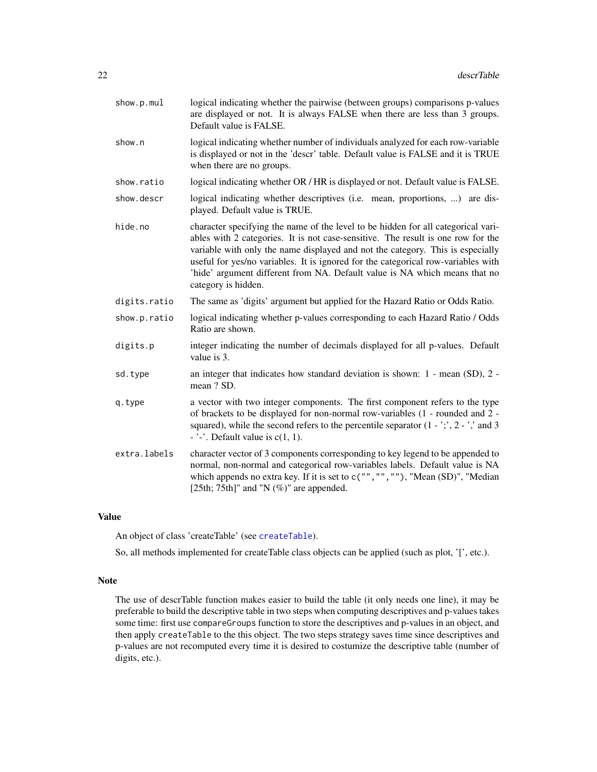| show.p.mul   | logical indicating whether the pairwise (between groups) comparisons p-values<br>are displayed or not. It is always FALSE when there are less than 3 groups.<br>Default value is FALSE.                                                                                                                                                                                                                                                           |
|--------------|---------------------------------------------------------------------------------------------------------------------------------------------------------------------------------------------------------------------------------------------------------------------------------------------------------------------------------------------------------------------------------------------------------------------------------------------------|
| show.n       | logical indicating whether number of individuals analyzed for each row-variable<br>is displayed or not in the 'descr' table. Default value is FALSE and it is TRUE<br>when there are no groups.                                                                                                                                                                                                                                                   |
| show.ratio   | logical indicating whether OR / HR is displayed or not. Default value is FALSE.                                                                                                                                                                                                                                                                                                                                                                   |
| show.descr   | logical indicating whether descriptives (i.e. mean, proportions, ) are dis-<br>played. Default value is TRUE.                                                                                                                                                                                                                                                                                                                                     |
| hide.no      | character specifying the name of the level to be hidden for all categorical vari-<br>ables with 2 categories. It is not case-sensitive. The result is one row for the<br>variable with only the name displayed and not the category. This is especially<br>useful for yes/no variables. It is ignored for the categorical row-variables with<br>'hide' argument different from NA. Default value is NA which means that no<br>category is hidden. |
| digits.ratio | The same as 'digits' argument but applied for the Hazard Ratio or Odds Ratio.                                                                                                                                                                                                                                                                                                                                                                     |
| show.p.ratio | logical indicating whether p-values corresponding to each Hazard Ratio / Odds<br>Ratio are shown.                                                                                                                                                                                                                                                                                                                                                 |
| digits.p     | integer indicating the number of decimals displayed for all p-values. Default<br>value is 3.                                                                                                                                                                                                                                                                                                                                                      |
| sd.type      | an integer that indicates how standard deviation is shown: 1 - mean (SD), 2 -<br>mean ? SD.                                                                                                                                                                                                                                                                                                                                                       |
| q.type       | a vector with two integer components. The first component refers to the type<br>of brackets to be displayed for non-normal row-variables (1 - rounded and 2 -<br>squared), while the second refers to the percentile separator $(1 - \gamma, 2 - \gamma)$ and 3<br>$\frac{1}{2}$ . Default value is c(1, 1).                                                                                                                                      |
| extra.labels | character vector of 3 components corresponding to key legend to be appended to<br>normal, non-normal and categorical row-variables labels. Default value is NA<br>which appends no extra key. If it is set to $c("", "", "")$ , "Mean (SD)", "Median<br>[25th; 75th]" and "N $(\%)$ " are appended.                                                                                                                                               |

# Value

An object of class 'createTable' (see [createTable](#page-13-1)).

So, all methods implemented for createTable class objects can be applied (such as plot, '[', etc.).

# Note

The use of descrTable function makes easier to build the table (it only needs one line), it may be preferable to build the descriptive table in two steps when computing descriptives and p-values takes some time: first use compareGroups function to store the descriptives and p-values in an object, and then apply createTable to the this object. The two steps strategy saves time since descriptives and p-values are not recomputed every time it is desired to costumize the descriptive table (number of digits, etc.).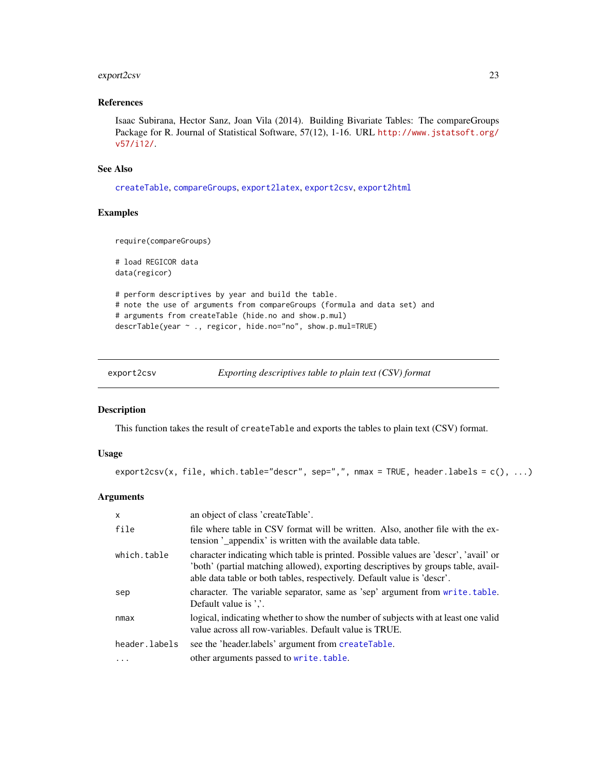# <span id="page-22-0"></span>export2csv 23

# References

Isaac Subirana, Hector Sanz, Joan Vila (2014). Building Bivariate Tables: The compareGroups Package for R. Journal of Statistical Software, 57(12), 1-16. URL [http://www.jstatsoft.org/](http://www.jstatsoft.org/v57/i12/) [v57/i12/](http://www.jstatsoft.org/v57/i12/).

#### See Also

[createTable](#page-13-1), [compareGroups](#page-4-1), [export2latex](#page-24-1), [export2csv](#page-22-1), [export2html](#page-23-1)

# Examples

```
require(compareGroups)
# load REGICOR data
data(regicor)
# perform descriptives by year and build the table.
# note the use of arguments from compareGroups (formula and data set) and
# arguments from createTable (hide.no and show.p.mul)
descrTable(year ~ ., regicor, hide.no="no", show.p.mul=TRUE)
```
<span id="page-22-1"></span>

| export2csv | Exporting descriptives table to plain text (CSV) format |
|------------|---------------------------------------------------------|
|            |                                                         |

#### Description

This function takes the result of createTable and exports the tables to plain text (CSV) format.

# Usage

```
export2csv(x, file, which.table="descr", sep=",", nmax = TRUE, header.labels = c(), ...)
```
### Arguments

| $\mathsf{x}$  | an object of class 'createTable'.                                                                                                                                                                                                                    |
|---------------|------------------------------------------------------------------------------------------------------------------------------------------------------------------------------------------------------------------------------------------------------|
| file          | file where table in CSV format will be written. Also, another file with the ex-<br>tension '_appendix' is written with the available data table.                                                                                                     |
| which.table   | character indicating which table is printed. Possible values are 'descr', 'avail' or<br>'both' (partial matching allowed), exporting descriptives by groups table, avail-<br>able data table or both tables, respectively. Default value is 'descr'. |
| sep           | character. The variable separator, same as 'sep' argument from write table.<br>Default value is '.'.                                                                                                                                                 |
| nmax          | logical, indicating whether to show the number of subjects with at least one valid<br>value across all row-variables. Default value is TRUE.                                                                                                         |
| header.labels | see the 'header.labels' argument from createTable.                                                                                                                                                                                                   |
|               | other arguments passed to write.table.                                                                                                                                                                                                               |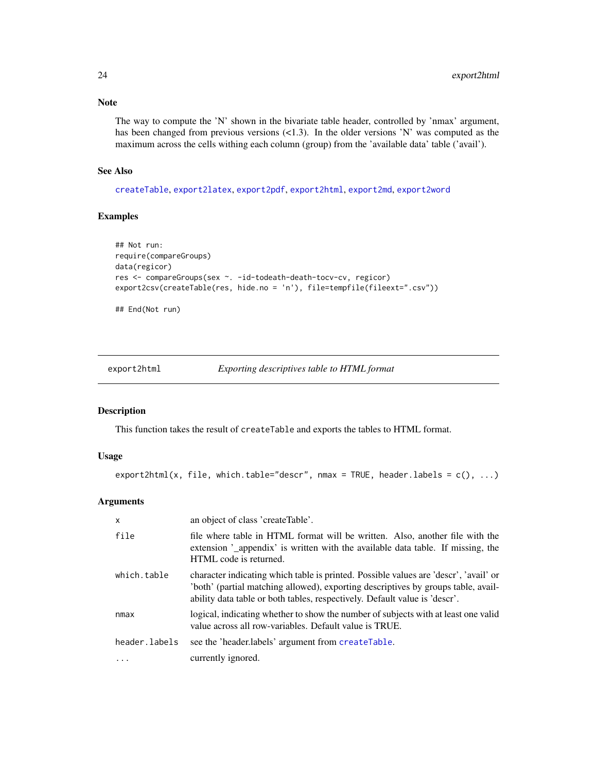# Note

The way to compute the 'N' shown in the bivariate table header, controlled by 'nmax' argument, has been changed from previous versions  $\langle$  (2.3). In the older versions 'N' was computed as the maximum across the cells withing each column (group) from the 'available data' table ('avail').

# See Also

[createTable](#page-13-1), [export2latex](#page-24-1), [export2pdf](#page-28-1), [export2html](#page-23-1), [export2md](#page-26-1), [export2word](#page-30-1)

# Examples

```
## Not run:
require(compareGroups)
data(regicor)
res <- compareGroups(sex ~. -id-todeath-death-tocv-cv, regicor)
export2csv(createTable(res, hide.no = 'n'), file=tempfile(fileext=".csv"))
```
## End(Not run)

<span id="page-23-1"></span>export2html *Exporting descriptives table to HTML format*

#### Description

This function takes the result of createTable and exports the tables to HTML format.

# Usage

```
export2html(x, file, which_table="descr", nmax = TRUE, header_labels = c(), ...)
```
#### Arguments

| $\mathsf{x}$  | an object of class 'createTable'.                                                                                                                                                                                                                      |
|---------------|--------------------------------------------------------------------------------------------------------------------------------------------------------------------------------------------------------------------------------------------------------|
| file          | file where table in HTML format will be written. Also, another file with the<br>extension '_appendix' is written with the available data table. If missing, the<br>HTML code is returned.                                                              |
| which.table   | character indicating which table is printed. Possible values are 'descr', 'avail' or<br>both' (partial matching allowed), exporting descriptives by groups table, avail-<br>ability data table or both tables, respectively. Default value is 'descr'. |
| nmax          | logical, indicating whether to show the number of subjects with at least one valid<br>value across all row-variables. Default value is TRUE.                                                                                                           |
| header.labels | see the 'header.labels' argument from createTable.                                                                                                                                                                                                     |
| $\cdots$      | currently ignored.                                                                                                                                                                                                                                     |

<span id="page-23-0"></span>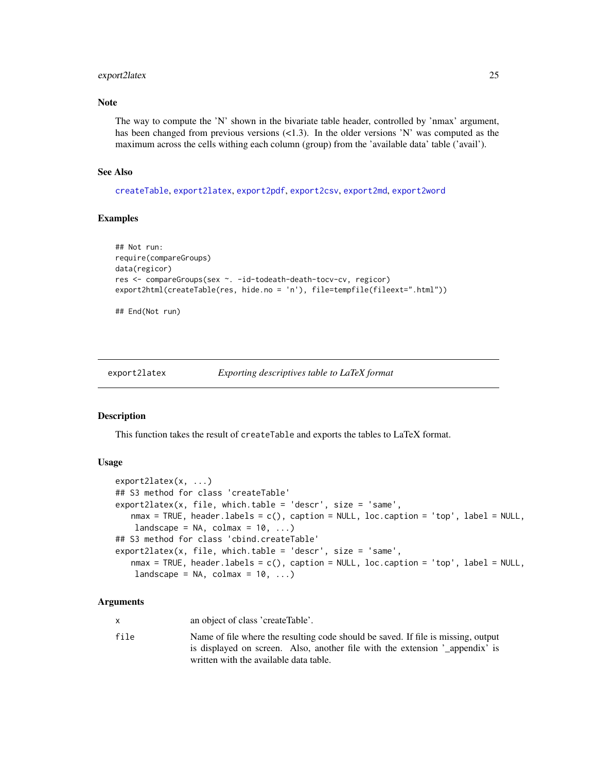#### <span id="page-24-0"></span>export2latex 25

# Note

The way to compute the 'N' shown in the bivariate table header, controlled by 'nmax' argument, has been changed from previous versions  $\langle 1.3 \rangle$ . In the older versions 'N' was computed as the maximum across the cells withing each column (group) from the 'available data' table ('avail').

# See Also

[createTable](#page-13-1), [export2latex](#page-24-1), [export2pdf](#page-28-1), [export2csv](#page-22-1), [export2md](#page-26-1), [export2word](#page-30-1)

#### Examples

```
## Not run:
require(compareGroups)
data(regicor)
res <- compareGroups(sex ~. -id-todeath-death-tocv-cv, regicor)
export2html(createTable(res, hide.no = 'n'), file=tempfile(fileext=".html"))
```
## End(Not run)

<span id="page-24-1"></span>export2latex *Exporting descriptives table to LaTeX format*

#### **Description**

This function takes the result of createTable and exports the tables to LaTeX format.

# Usage

```
export2latex(x, ...)
## S3 method for class 'createTable'
export2latex(x, file, which.table = 'descr', size = 'same',
   nmax = TRUE, header.labels = c(), caption = NULL, loc.caption = 'top', label = NULL,
    landscope = NA, colmax = 10, ...)## S3 method for class 'cbind.createTable'
export2latex(x, file, which.table = 'descr', size = 'same',
   nmax = TRUE, header.labels = c(), caption = NULL, loc.caption = 'top', label = NULL,
    landscape = NA, colmax = 10, ...)
```
# Arguments

x an object of class 'createTable'.

file Name of file where the resulting code should be saved. If file is missing, output is displayed on screen. Also, another file with the extension '\_appendix' is written with the available data table.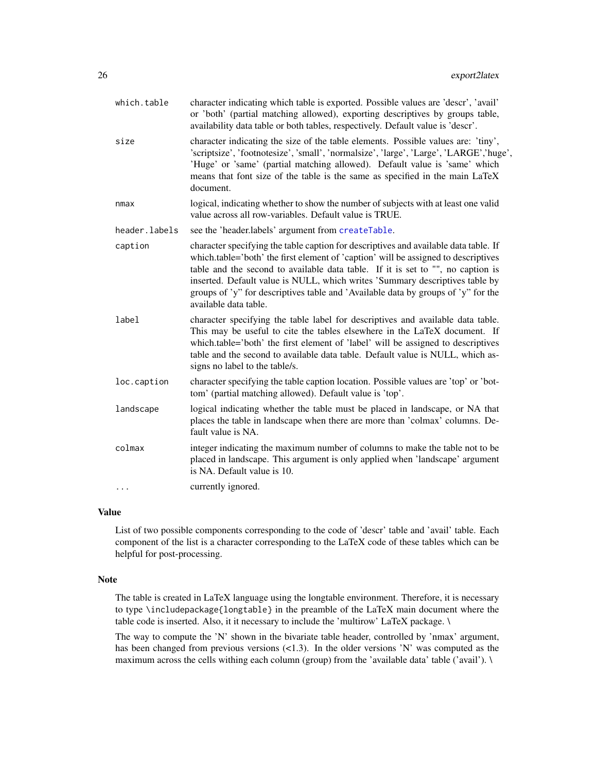| which.table   | character indicating which table is exported. Possible values are 'descr', 'avail'<br>or 'both' (partial matching allowed), exporting descriptives by groups table,<br>availability data table or both tables, respectively. Default value is 'descr'.                                                                                                                                                                                                      |
|---------------|-------------------------------------------------------------------------------------------------------------------------------------------------------------------------------------------------------------------------------------------------------------------------------------------------------------------------------------------------------------------------------------------------------------------------------------------------------------|
| size          | character indicating the size of the table elements. Possible values are: 'tiny',<br>'scriptsize', 'footnotesize', 'small', 'normalsize', 'large', 'Large', 'LARGE','huge',<br>'Huge' or 'same' (partial matching allowed). Default value is 'same' which<br>means that font size of the table is the same as specified in the main LaTeX<br>document.                                                                                                      |
| nmax          | logical, indicating whether to show the number of subjects with at least one valid<br>value across all row-variables. Default value is TRUE.                                                                                                                                                                                                                                                                                                                |
| header.labels | see the 'header.labels' argument from createTable.                                                                                                                                                                                                                                                                                                                                                                                                          |
| caption       | character specifying the table caption for descriptives and available data table. If<br>which.table='both' the first element of 'caption' will be assigned to descriptives<br>table and the second to available data table. If it is set to "", no caption is<br>inserted. Default value is NULL, which writes 'Summary descriptives table by<br>groups of 'y" for descriptives table and 'Available data by groups of 'y" for the<br>available data table. |
| label         | character specifying the table label for descriptives and available data table.<br>This may be useful to cite the tables elsewhere in the LaTeX document. If<br>which.table='both' the first element of 'label' will be assigned to descriptives<br>table and the second to available data table. Default value is NULL, which as-<br>signs no label to the table/s.                                                                                        |
| loc.caption   | character specifying the table caption location. Possible values are 'top' or 'bot-<br>tom' (partial matching allowed). Default value is 'top'.                                                                                                                                                                                                                                                                                                             |
| landscape     | logical indicating whether the table must be placed in landscape, or NA that<br>places the table in landscape when there are more than 'colmax' columns. De-<br>fault value is NA.                                                                                                                                                                                                                                                                          |
| colmax        | integer indicating the maximum number of columns to make the table not to be<br>placed in landscape. This argument is only applied when 'landscape' argument<br>is NA. Default value is 10.                                                                                                                                                                                                                                                                 |
| $\cdots$      | currently ignored.                                                                                                                                                                                                                                                                                                                                                                                                                                          |
|               |                                                                                                                                                                                                                                                                                                                                                                                                                                                             |

#### Value

List of two possible components corresponding to the code of 'descr' table and 'avail' table. Each component of the list is a character corresponding to the LaTeX code of these tables which can be helpful for post-processing.

# Note

The table is created in LaTeX language using the longtable environment. Therefore, it is necessary to type \includepackage{longtable} in the preamble of the LaTeX main document where the table code is inserted. Also, it it necessary to include the 'multirow' LaTeX package. \

The way to compute the 'N' shown in the bivariate table header, controlled by 'nmax' argument, has been changed from previous versions  $($ 1.3). In the older versions 'N' was computed as the maximum across the cells withing each column (group) from the 'available data' table ('avail'). \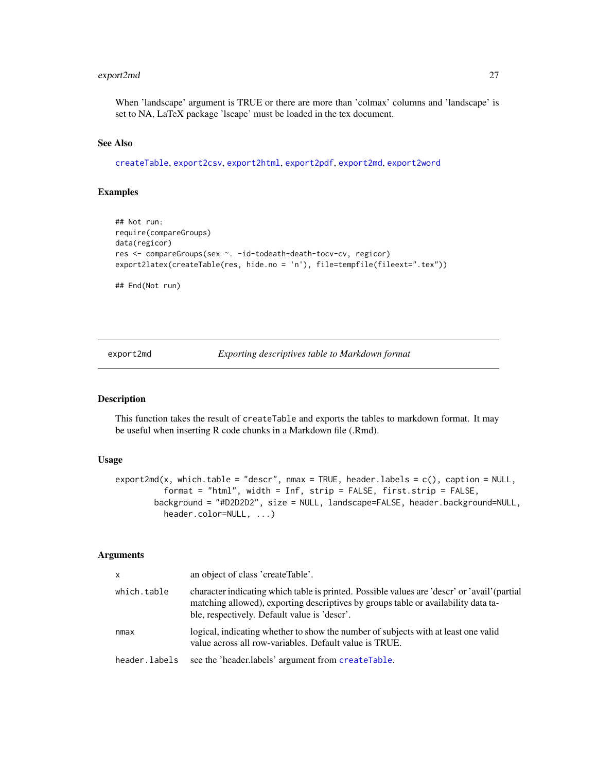# <span id="page-26-0"></span>export2md 27

When 'landscape' argument is TRUE or there are more than 'colmax' columns and 'landscape' is set to NA, LaTeX package 'lscape' must be loaded in the tex document.

#### See Also

[createTable](#page-13-1), [export2csv](#page-22-1), [export2html](#page-23-1), [export2pdf](#page-28-1), [export2md](#page-26-1), [export2word](#page-30-1)

# Examples

```
## Not run:
require(compareGroups)
data(regicor)
res <- compareGroups(sex ~. -id-todeath-death-tocv-cv, regicor)
export2latex(createTable(res, hide.no = 'n'), file=tempfile(fileext=".tex"))
```
## End(Not run)

<span id="page-26-1"></span>export2md *Exporting descriptives table to Markdown format*

#### Description

This function takes the result of createTable and exports the tables to markdown format. It may be useful when inserting R code chunks in a Markdown file (.Rmd).

#### Usage

```
export2md(x, which.table = "descr", nmax = TRUE, header.labels = c(), caption = NULL,format = "html", width = Inf, strip = FALSE, first.strip = FALSE,
        background = "#D2D2D2", size = NULL, landscape=FALSE, header.background=NULL,
          header.color=NULL, ...)
```
# Arguments

| $\mathsf{x}$  | an object of class 'createTable'.                                                                                                                                                                                                  |
|---------------|------------------------------------------------------------------------------------------------------------------------------------------------------------------------------------------------------------------------------------|
| which.table   | character indicating which table is printed. Possible values are 'descr' or 'avail' (partial<br>matching allowed), exporting descriptives by groups table or availability data ta-<br>ble, respectively. Default value is 'descr'. |
| nmax          | logical, indicating whether to show the number of subjects with at least one valid<br>value across all row-variables. Default value is TRUE.                                                                                       |
| header.labels | see the 'header.labels' argument from createTable.                                                                                                                                                                                 |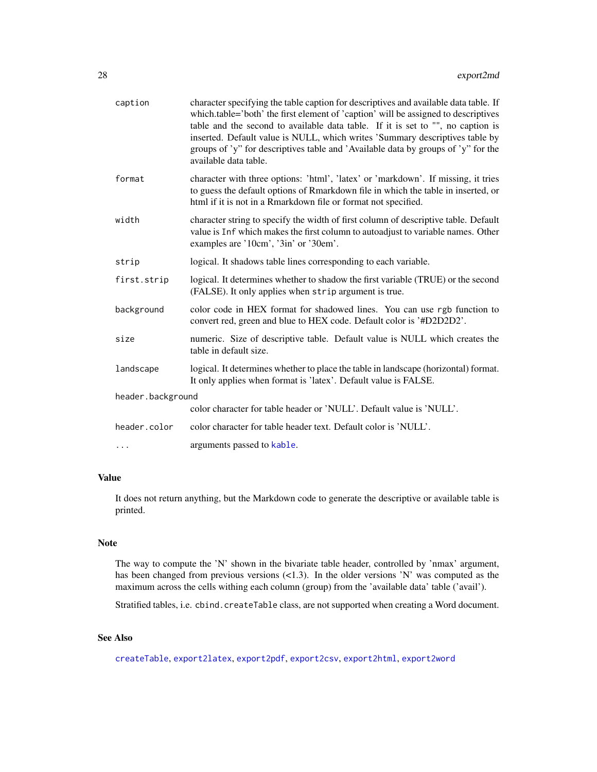<span id="page-27-0"></span>

| caption           | character specifying the table caption for descriptives and available data table. If<br>which table='both' the first element of 'caption' will be assigned to descriptives<br>table and the second to available data table. If it is set to "", no caption is<br>inserted. Default value is NULL, which writes 'Summary descriptives table by<br>groups of 'y" for descriptives table and 'Available data by groups of 'y" for the<br>available data table. |  |
|-------------------|-------------------------------------------------------------------------------------------------------------------------------------------------------------------------------------------------------------------------------------------------------------------------------------------------------------------------------------------------------------------------------------------------------------------------------------------------------------|--|
| format            | character with three options: 'html', 'latex' or 'markdown'. If missing, it tries<br>to guess the default options of Rmarkdown file in which the table in inserted, or<br>html if it is not in a Rmarkdown file or format not specified.                                                                                                                                                                                                                    |  |
| width             | character string to specify the width of first column of descriptive table. Default<br>value is Inf which makes the first column to autoadjust to variable names. Other<br>examples are '10cm', '3in' or '30em'.                                                                                                                                                                                                                                            |  |
| strip             | logical. It shadows table lines corresponding to each variable.                                                                                                                                                                                                                                                                                                                                                                                             |  |
| first.strip       | logical. It determines whether to shadow the first variable (TRUE) or the second<br>(FALSE). It only applies when strip argument is true.                                                                                                                                                                                                                                                                                                                   |  |
| background        | color code in HEX format for shadowed lines. You can use rgb function to<br>convert red, green and blue to HEX code. Default color is '#D2D2D2'.                                                                                                                                                                                                                                                                                                            |  |
| size              | numeric. Size of descriptive table. Default value is NULL which creates the<br>table in default size.                                                                                                                                                                                                                                                                                                                                                       |  |
| landscape         | logical. It determines whether to place the table in landscape (horizontal) format.<br>It only applies when format is 'latex'. Default value is FALSE.                                                                                                                                                                                                                                                                                                      |  |
| header.background |                                                                                                                                                                                                                                                                                                                                                                                                                                                             |  |
|                   | color character for table header or 'NULL'. Default value is 'NULL'.                                                                                                                                                                                                                                                                                                                                                                                        |  |
| header.color      | color character for table header text. Default color is 'NULL'.                                                                                                                                                                                                                                                                                                                                                                                             |  |
| $\cdots$          | arguments passed to kable.                                                                                                                                                                                                                                                                                                                                                                                                                                  |  |
|                   |                                                                                                                                                                                                                                                                                                                                                                                                                                                             |  |

# Value

It does not return anything, but the Markdown code to generate the descriptive or available table is printed.

# Note

The way to compute the 'N' shown in the bivariate table header, controlled by 'nmax' argument, has been changed from previous versions  $\langle$ <1.3). In the older versions 'N' was computed as the maximum across the cells withing each column (group) from the 'available data' table ('avail').

Stratified tables, i.e. cbind.createTable class, are not supported when creating a Word document.

# See Also

[createTable](#page-13-1), [export2latex](#page-24-1), [export2pdf](#page-28-1), [export2csv](#page-22-1), [export2html](#page-23-1), [export2word](#page-30-1)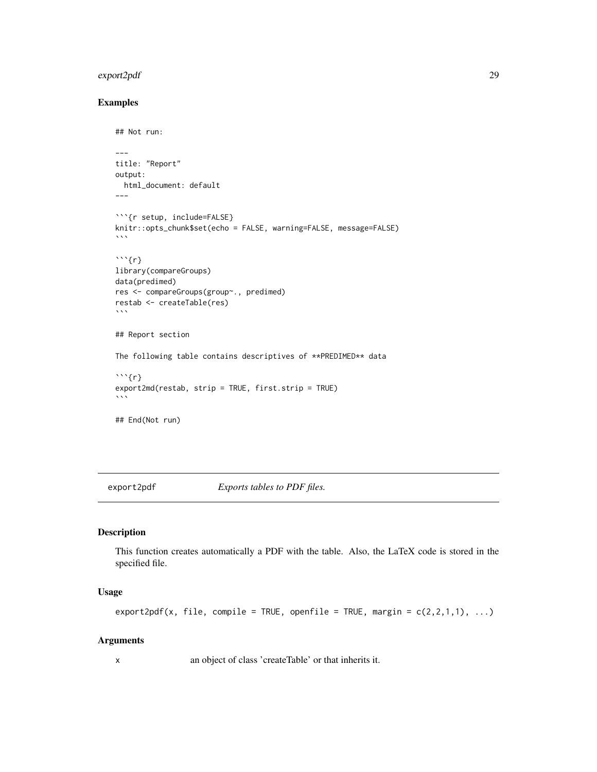# <span id="page-28-0"></span>export2pdf 29

# Examples

```
## Not run:
---
title: "Report"
output:
  html_document: default
---
```{r setup, include=FALSE}
knitr::opts_chunk$set(echo = FALSE, warning=FALSE, message=FALSE)
\ddot{\phantom{0}}\cdots {r}
library(compareGroups)
data(predimed)
res <- compareGroups(group~., predimed)
restab <- createTable(res)
\sqrt{2}## Report section
The following table contains descriptives of **PREDIMED** data
\cdots{r}
export2md(restab, strip = TRUE, first.strip = TRUE)
\sqrt{2}## End(Not run)
```
<span id="page-28-1"></span>

export2pdf *Exports tables to PDF files.*

# Description

This function creates automatically a PDF with the table. Also, the LaTeX code is stored in the specified file.

#### Usage

```
export2pdf(x, file, compile = TRUE, openfile = TRUE, margin = c(2,2,1,1), ...)
```
#### Arguments

x an object of class 'createTable' or that inherits it.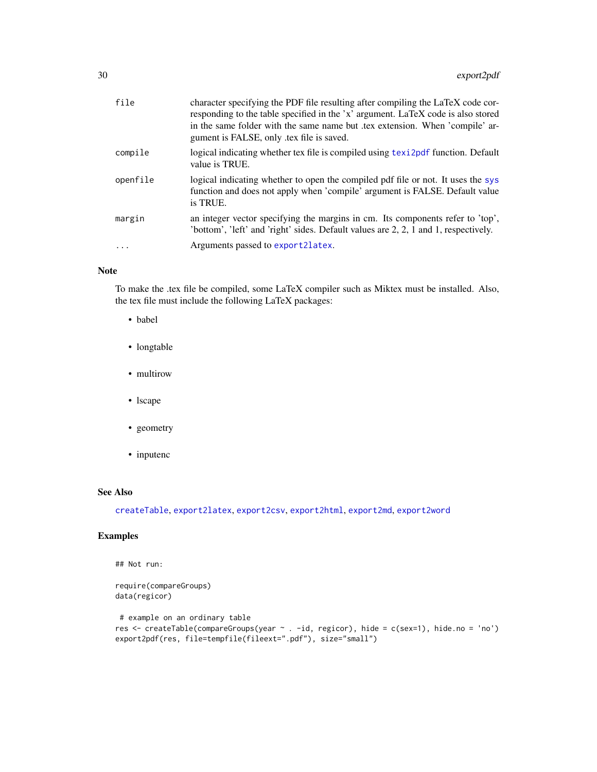<span id="page-29-0"></span>

| file     | character specifying the PDF file resulting after compiling the LaTeX code cor-<br>responding to the table specified in the 'x' argument. LaTeX code is also stored<br>in the same folder with the same name but tex extension. When 'compile' ar-<br>gument is FALSE, only tex file is saved. |
|----------|------------------------------------------------------------------------------------------------------------------------------------------------------------------------------------------------------------------------------------------------------------------------------------------------|
| compile  | logical indicating whether tex file is compiled using text2pdf function. Default<br>value is TRUE.                                                                                                                                                                                             |
| openfile | logical indicating whether to open the compiled pdf file or not. It uses the sys<br>function and does not apply when 'compile' argument is FALSE. Default value<br>is TRUE.                                                                                                                    |
| margin   | an integer vector specifying the margins in cm. Its components refer to 'top',<br>'bottom', 'left' and 'right' sides. Default values are 2, 2, 1 and 1, respectively.                                                                                                                          |
|          | Arguments passed to export 21 at ex.                                                                                                                                                                                                                                                           |

# Note

To make the .tex file be compiled, some LaTeX compiler such as Miktex must be installed. Also, the tex file must include the following LaTeX packages:

- babel
- longtable
- multirow
- lscape
- geometry
- inputenc

# See Also

[createTable](#page-13-1), [export2latex](#page-24-1), [export2csv](#page-22-1), [export2html](#page-23-1), [export2md](#page-26-1), [export2word](#page-30-1)

# Examples

```
## Not run:
```

```
require(compareGroups)
data(regicor)
# example on an ordinary table
res <- createTable(compareGroups(year ~ . -id, regicor), hide = c(sex=1), hide.no = 'no')
export2pdf(res, file=tempfile(fileext=".pdf"), size="small")
```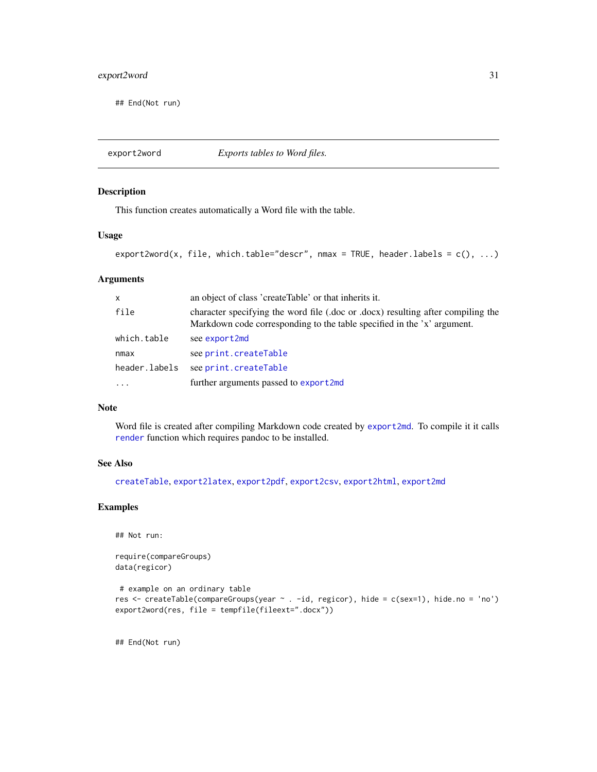# <span id="page-30-0"></span>export2word 31

## End(Not run)

<span id="page-30-1"></span>export2word *Exports tables to Word files.*

# Description

This function creates automatically a Word file with the table.

# Usage

```
export2word(x, file, which_table='descr', nmax = TRUE, header_labels = c(), ...)
```
# Arguments

| X             | an object of class 'createTable' or that inherits it.                                                                                                       |
|---------------|-------------------------------------------------------------------------------------------------------------------------------------------------------------|
| file          | character specifying the word file (.doc or .docx) resulting after compiling the<br>Markdown code corresponding to the table specified in the 'x' argument. |
| which.table   | see export2md                                                                                                                                               |
| nmax          | see print.createTable                                                                                                                                       |
| header.labels | see print.createTable                                                                                                                                       |
|               | further arguments passed to export2md                                                                                                                       |

# Note

Word file is created after compiling Markdown code created by [export2md](#page-26-1). To compile it it calls [render](#page-0-0) function which requires pandoc to be installed.

# See Also

[createTable](#page-13-1), [export2latex](#page-24-1), [export2pdf](#page-28-1), [export2csv](#page-22-1), [export2html](#page-23-1), [export2md](#page-26-1)

#### Examples

```
## Not run:
```
require(compareGroups) data(regicor)

```
# example on an ordinary table
res <- createTable(compareGroups(year ~ . -id, regicor), hide = c(sex=1), hide.no = 'no')
export2word(res, file = tempfile(fileext=".docx"))
```
## End(Not run)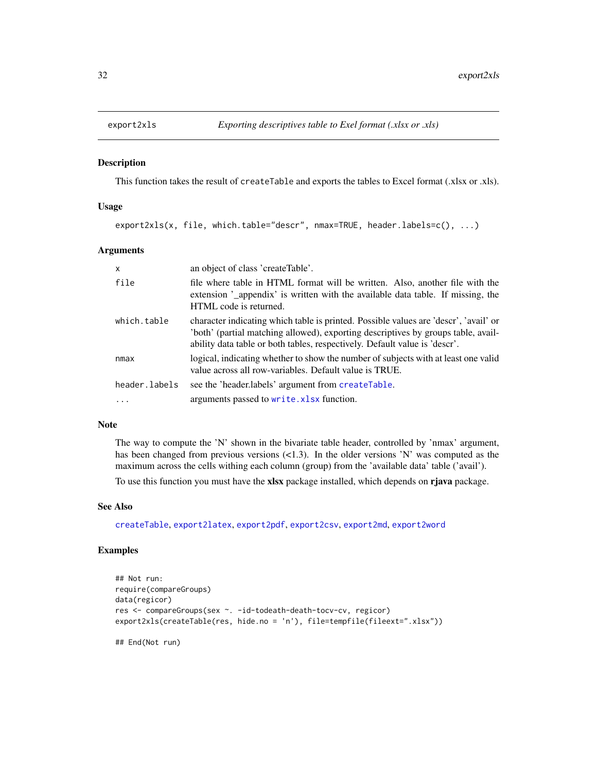<span id="page-31-1"></span><span id="page-31-0"></span>

#### Description

This function takes the result of createTable and exports the tables to Excel format (.xlsx or .xls).

#### Usage

export2xls(x, file, which.table="descr", nmax=TRUE, header.labels=c(), ...)

#### Arguments

| x             | an object of class 'createTable'.                                                                                                                                                                                                                      |
|---------------|--------------------------------------------------------------------------------------------------------------------------------------------------------------------------------------------------------------------------------------------------------|
| file          | file where table in HTML format will be written. Also, another file with the<br>extension '_appendix' is written with the available data table. If missing, the<br>HTML code is returned.                                                              |
| which.table   | character indicating which table is printed. Possible values are 'descr', 'avail' or<br>both' (partial matching allowed), exporting descriptives by groups table, avail-<br>ability data table or both tables, respectively. Default value is 'descr'. |
| nmax          | logical, indicating whether to show the number of subjects with at least one valid<br>value across all row-variables. Default value is TRUE.                                                                                                           |
| header.labels | see the 'header.labels' argument from createTable.                                                                                                                                                                                                     |
| $\ddots$ .    | arguments passed to write. xlsx function.                                                                                                                                                                                                              |

### Note

The way to compute the 'N' shown in the bivariate table header, controlled by 'nmax' argument, has been changed from previous versions  $\langle 1.3 \rangle$ . In the older versions 'N' was computed as the maximum across the cells withing each column (group) from the 'available data' table ('avail').

To use this function you must have the xlsx package installed, which depends on rjava package.

#### See Also

[createTable](#page-13-1), [export2latex](#page-24-1), [export2pdf](#page-28-1), [export2csv](#page-22-1), [export2md](#page-26-1), [export2word](#page-30-1)

# Examples

```
## Not run:
require(compareGroups)
data(regicor)
res <- compareGroups(sex ~. -id-todeath-death-tocv-cv, regicor)
export2xls(createTable(res, hide.no = 'n'), file=tempfile(fileext=".xlsx"))
```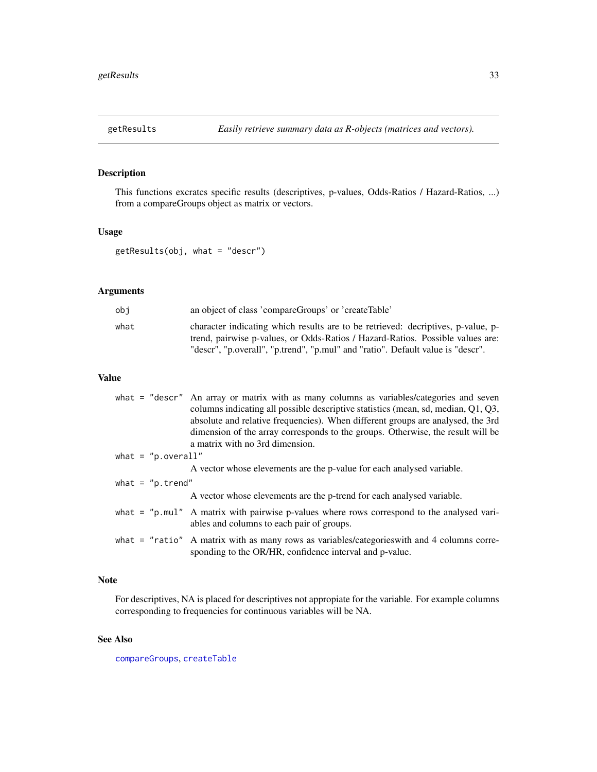<span id="page-32-0"></span>

# Description

This functions excratcs specific results (descriptives, p-values, Odds-Ratios / Hazard-Ratios, ...) from a compareGroups object as matrix or vectors.

# Usage

getResults(obj, what = "descr")

# Arguments

| obi  | an object of class 'compareGroups' or 'createTable'                                                                                                                                                                                                   |
|------|-------------------------------------------------------------------------------------------------------------------------------------------------------------------------------------------------------------------------------------------------------|
| what | character indicating which results are to be retrieved: decriptives, p-value, p-<br>trend, pairwise p-values, or Odds-Ratios / Hazard-Ratios. Possible values are:<br>"descr", "p.overall", "p.trend", "p.mul" and "ratio". Default value is "descr". |

# Value

|                       | what = "descr" An array or matrix with as many columns as variables/categories and seven                                                                 |
|-----------------------|----------------------------------------------------------------------------------------------------------------------------------------------------------|
|                       | columns indicating all possible descriptive statistics (mean, sd, median, Q1, Q3,                                                                        |
|                       | absolute and relative frequencies). When different groups are analysed, the 3rd                                                                          |
|                       | dimension of the array corresponds to the groups. Otherwise, the result will be                                                                          |
|                       | a matrix with no 3rd dimension.                                                                                                                          |
| what = $"p. overall"$ |                                                                                                                                                          |
|                       | A vector whose elevements are the p-value for each analysed variable.                                                                                    |
| what = $"p. trend"$   |                                                                                                                                                          |
|                       | A vector whose elevements are the p-trend for each analysed variable.                                                                                    |
|                       | what $=$ "p.mul" A matrix with pairwise p-values where rows correspond to the analysed vari-<br>ables and columns to each pair of groups.                |
|                       | what $=$ "ratio" A matrix with as many rows as variables/categories with and 4 columns corre-<br>sponding to the OR/HR, confidence interval and p-value. |

# Note

For descriptives, NA is placed for descriptives not appropiate for the variable. For example columns corresponding to frequencies for continuous variables will be NA.

# See Also

[compareGroups](#page-4-1), [createTable](#page-13-1)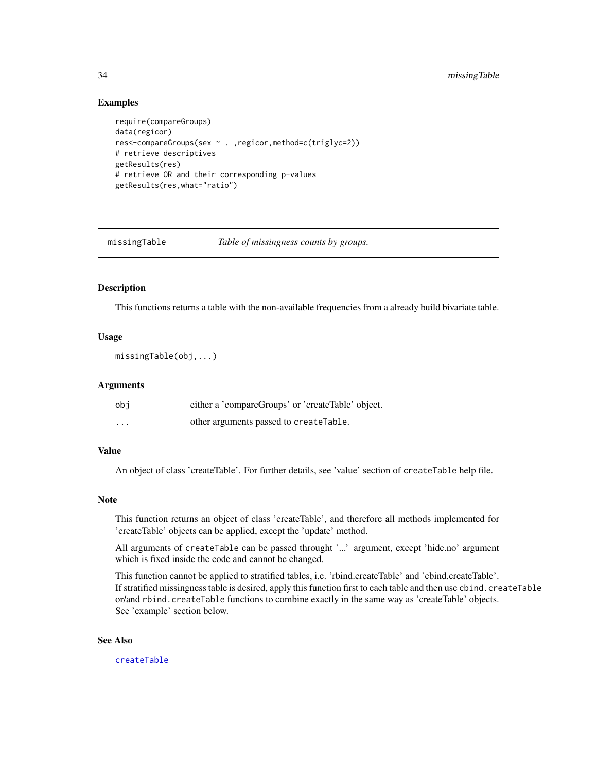# <span id="page-33-0"></span>Examples

```
require(compareGroups)
data(regicor)
res<-compareGroups(sex ~ . ,regicor,method=c(triglyc=2))
# retrieve descriptives
getResults(res)
# retrieve OR and their corresponding p-values
getResults(res,what="ratio")
```
<span id="page-33-1"></span>missingTable *Table of missingness counts by groups.*

#### Description

This functions returns a table with the non-available frequencies from a already build bivariate table.

# Usage

```
missingTable(obj,...)
```
#### Arguments

| obi      | either a 'compareGroups' or 'createTable' object. |
|----------|---------------------------------------------------|
| $\cdots$ | other arguments passed to createTable.            |

# Value

An object of class 'createTable'. For further details, see 'value' section of createTable help file.

# Note

This function returns an object of class 'createTable', and therefore all methods implemented for 'createTable' objects can be applied, except the 'update' method.

All arguments of createTable can be passed throught '...' argument, except 'hide.no' argument which is fixed inside the code and cannot be changed.

This function cannot be applied to stratified tables, i.e. 'rbind.createTable' and 'cbind.createTable'. If stratified missingness table is desired, apply this function first to each table and then use cbind.createTable or/and rbind.createTable functions to combine exactly in the same way as 'createTable' objects. See 'example' section below.

#### See Also

[createTable](#page-13-1)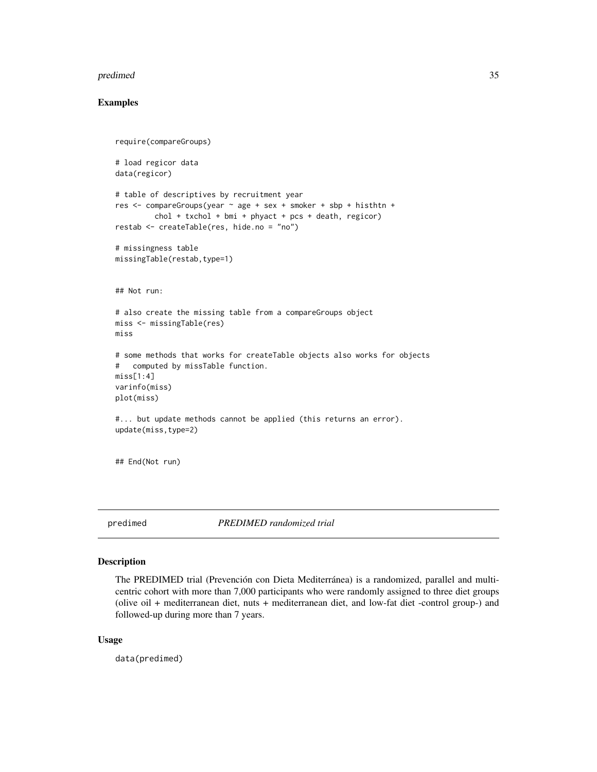#### <span id="page-34-0"></span>predimed 35

# Examples

```
require(compareGroups)
# load regicor data
data(regicor)
# table of descriptives by recruitment year
res <- compareGroups(year ~ age + sex + smoker + sbp + histhtn +
         chol + txchol + bmi + phyact + pcs + death, region)restab <- createTable(res, hide.no = "no")
# missingness table
missingTable(restab,type=1)
## Not run:
# also create the missing table from a compareGroups object
miss <- missingTable(res)
miss
# some methods that works for createTable objects also works for objects
# computed by missTable function.
miss[1:4]
varinfo(miss)
plot(miss)
#... but update methods cannot be applied (this returns an error).
update(miss,type=2)
## End(Not run)
```
predimed *PREDIMED randomized trial*

# Description

The PREDIMED trial (Prevención con Dieta Mediterránea) is a randomized, parallel and multicentric cohort with more than 7,000 participants who were randomly assigned to three diet groups (olive oil + mediterranean diet, nuts + mediterranean diet, and low-fat diet -control group-) and followed-up during more than 7 years.

#### Usage

data(predimed)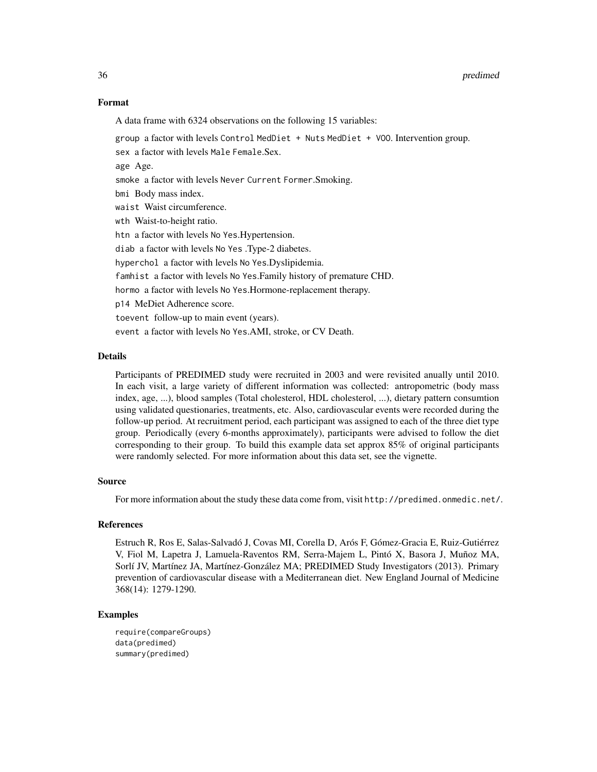#### Format

A data frame with 6324 observations on the following 15 variables:

group a factor with levels Control MedDiet + Nuts MedDiet + VOO. Intervention group. sex a factor with levels Male Female.Sex. age Age. smoke a factor with levels Never Current Former.Smoking. bmi Body mass index. waist Waist circumference. wth Waist-to-height ratio. htn a factor with levels No Yes.Hypertension. diab a factor with levels No Yes .Type-2 diabetes. hyperchol a factor with levels No Yes.Dyslipidemia. famhist a factor with levels No Yes.Family history of premature CHD. hormo a factor with levels No Yes.Hormone-replacement therapy. p14 MeDiet Adherence score. toevent follow-up to main event (years). event a factor with levels No Yes.AMI, stroke, or CV Death.

# **Details**

Participants of PREDIMED study were recruited in 2003 and were revisited anually until 2010. In each visit, a large variety of different information was collected: antropometric (body mass index, age, ...), blood samples (Total cholesterol, HDL cholesterol, ...), dietary pattern consumtion using validated questionaries, treatments, etc. Also, cardiovascular events were recorded during the follow-up period. At recruitment period, each participant was assigned to each of the three diet type group. Periodically (every 6-months approximately), participants were advised to follow the diet corresponding to their group. To build this example data set approx 85% of original participants were randomly selected. For more information about this data set, see the vignette.

# Source

For more information about the study these data come from, visit http://predimed.onmedic.net/.

#### References

Estruch R, Ros E, Salas-Salvadó J, Covas MI, Corella D, Arós F, Gómez-Gracia E, Ruiz-Gutiérrez V, Fiol M, Lapetra J, Lamuela-Raventos RM, Serra-Majem L, Pintó X, Basora J, Muñoz MA, Sorlí JV, Martínez JA, Martínez-González MA; PREDIMED Study Investigators (2013). Primary prevention of cardiovascular disease with a Mediterranean diet. New England Journal of Medicine 368(14): 1279-1290.

#### Examples

```
require(compareGroups)
data(predimed)
summary(predimed)
```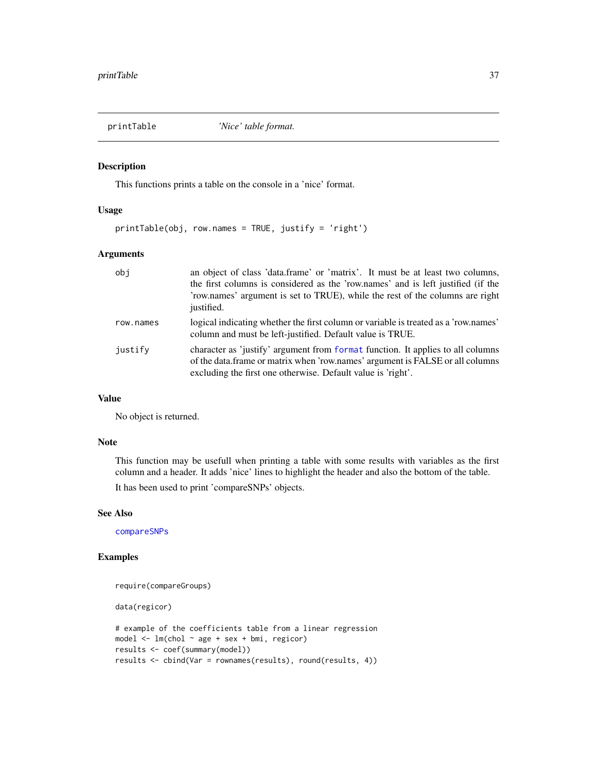<span id="page-36-0"></span>

# Description

This functions prints a table on the console in a 'nice' format.

#### Usage

printTable(obj, row.names = TRUE, justify = 'right')

# Arguments

| obj       | an object of class 'data.frame' or 'matrix'. It must be at least two columns,<br>the first columns is considered as the 'row.names' and is left justified (if the<br>'row.names' argument is set to TRUE), while the rest of the columns are right<br>justified. |
|-----------|------------------------------------------------------------------------------------------------------------------------------------------------------------------------------------------------------------------------------------------------------------------|
| row.names | logical indicating whether the first column or variable is treated as a 'row.names'<br>column and must be left-justified. Default value is TRUE.                                                                                                                 |
| justify   | character as 'justify' argument from format function. It applies to all columns<br>of the data. frame or matrix when 'row, names' argument is FALSE or all columns<br>excluding the first one otherwise. Default value is 'right'.                               |

# Value

No object is returned.

# Note

This function may be usefull when printing a table with some results with variables as the first column and a header. It adds 'nice' lines to highlight the header and also the bottom of the table. It has been used to print 'compareSNPs' objects.

# See Also

[compareSNPs](#page-10-1)

# Examples

```
require(compareGroups)
```
data(regicor)

```
# example of the coefficients table from a linear regression
model <- lm(chol ~ age + sex + bmi, regicor)
results <- coef(summary(model))
results <- cbind(Var = rownames(results), round(results, 4))
```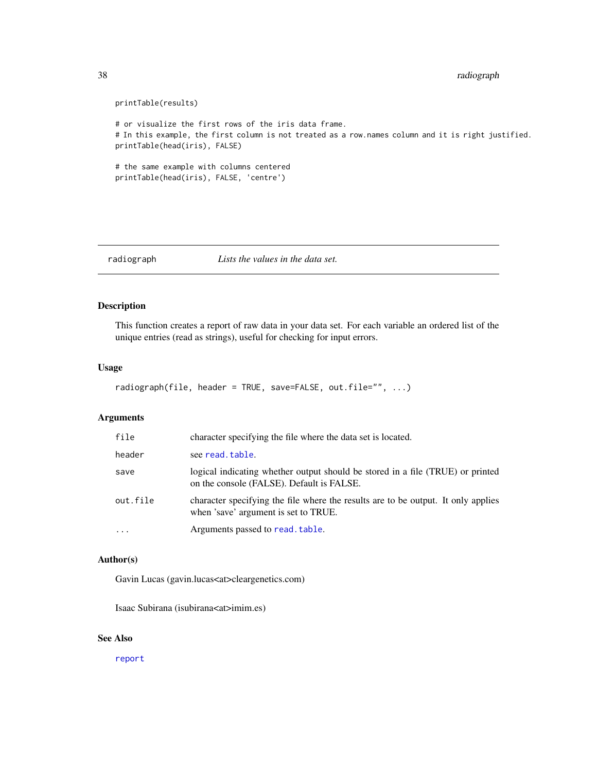```
38 radiograph
```

```
printTable(results)
# or visualize the first rows of the iris data frame.
# In this example, the first column is not treated as a row.names column and it is right justified.
printTable(head(iris), FALSE)
# the same example with columns centered
printTable(head(iris), FALSE, 'centre')
```
<span id="page-37-1"></span>radiograph *Lists the values in the data set.*

# Description

This function creates a report of raw data in your data set. For each variable an ordered list of the unique entries (read as strings), useful for checking for input errors.

# Usage

```
radiograph(file, header = TRUE, save=FALSE, out.file="", ...)
```
# Arguments

| file      | character specifying the file where the data set is located.                                                                |
|-----------|-----------------------------------------------------------------------------------------------------------------------------|
| header    | see read.table.                                                                                                             |
| save      | logical indicating whether output should be stored in a file (TRUE) or printed<br>on the console (FALSE). Default is FALSE. |
| out.file  | character specifying the file where the results are to be output. It only applies<br>when 'save' argument is set to TRUE.   |
| $\ddotsc$ | Arguments passed to read. table.                                                                                            |

# Author(s)

Gavin Lucas (gavin.lucas<at>cleargenetics.com)

Isaac Subirana (isubirana<at>imim.es)

# See Also

[report](#page-40-1)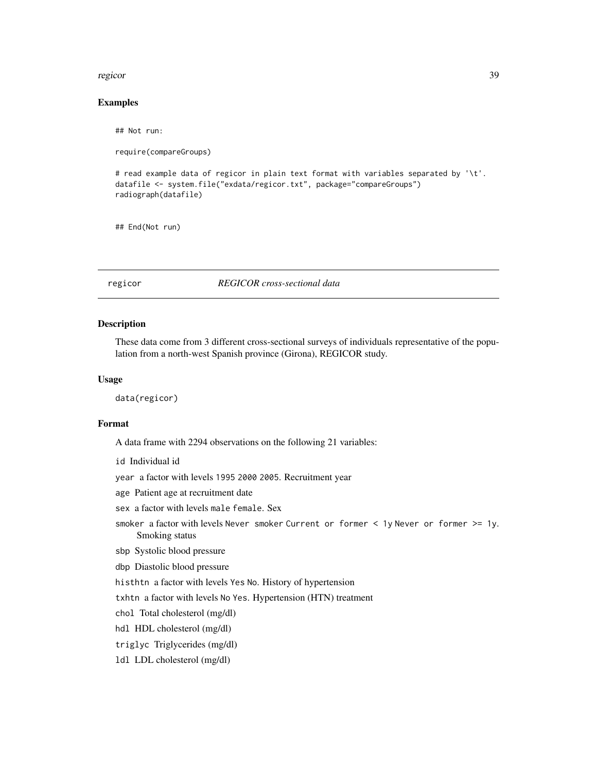#### <span id="page-38-0"></span>regicor to the contract of the contract of the contract of the contract of the contract of the contract of the contract of the contract of the contract of the contract of the contract of the contract of the contract of the

# Examples

## Not run:

require(compareGroups)

# read example data of regicor in plain text format with variables separated by '\t'. datafile <- system.file("exdata/regicor.txt", package="compareGroups") radiograph(datafile)

## End(Not run)

regicor *REGICOR cross-sectional data*

#### Description

These data come from 3 different cross-sectional surveys of individuals representative of the population from a north-west Spanish province (Girona), REGICOR study.

# Usage

data(regicor)

# Format

A data frame with 2294 observations on the following 21 variables:

id Individual id

year a factor with levels 1995 2000 2005. Recruitment year

age Patient age at recruitment date

- sex a factor with levels male female. Sex
- smoker a factor with levels Never smoker Current or former < 1y Never or former >= 1y. Smoking status
- sbp Systolic blood pressure

dbp Diastolic blood pressure

histhtn a factor with levels Yes No. History of hypertension

txhtn a factor with levels No Yes. Hypertension (HTN) treatment

chol Total cholesterol (mg/dl)

hdl HDL cholesterol (mg/dl)

triglyc Triglycerides (mg/dl)

ldl LDL cholesterol (mg/dl)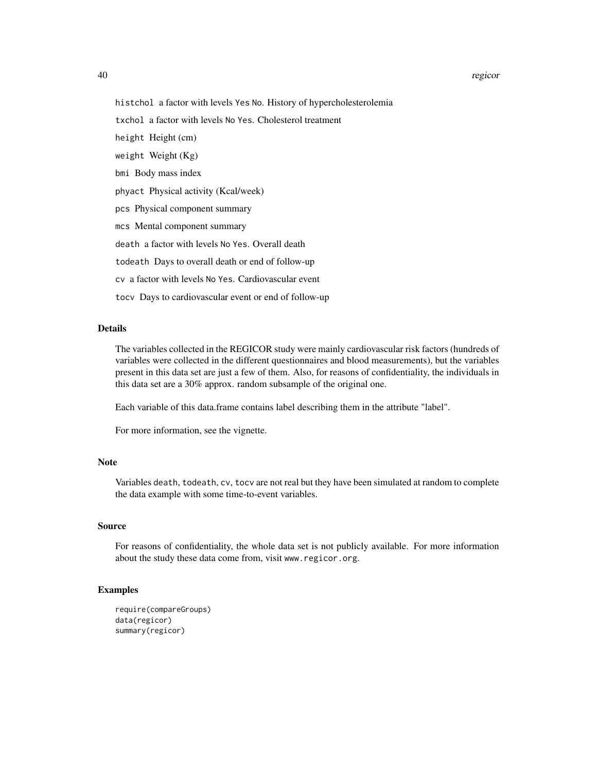#### 40 regicor

histchol a factor with levels Yes No. History of hypercholesterolemia

txchol a factor with levels No Yes. Cholesterol treatment

height Height (cm)

weight Weight (Kg)

bmi Body mass index

phyact Physical activity (Kcal/week)

pcs Physical component summary

mcs Mental component summary

death a factor with levels No Yes. Overall death

todeath Days to overall death or end of follow-up

cv a factor with levels No Yes. Cardiovascular event

tocv Days to cardiovascular event or end of follow-up

# Details

The variables collected in the REGICOR study were mainly cardiovascular risk factors (hundreds of variables were collected in the different questionnaires and blood measurements), but the variables present in this data set are just a few of them. Also, for reasons of confidentiality, the individuals in this data set are a 30% approx. random subsample of the original one.

Each variable of this data.frame contains label describing them in the attribute "label".

For more information, see the vignette.

#### Note

Variables death, todeath, cv, tocv are not real but they have been simulated at random to complete the data example with some time-to-event variables.

# Source

For reasons of confidentiality, the whole data set is not publicly available. For more information about the study these data come from, visit www.regicor.org.

# Examples

```
require(compareGroups)
data(regicor)
summary(regicor)
```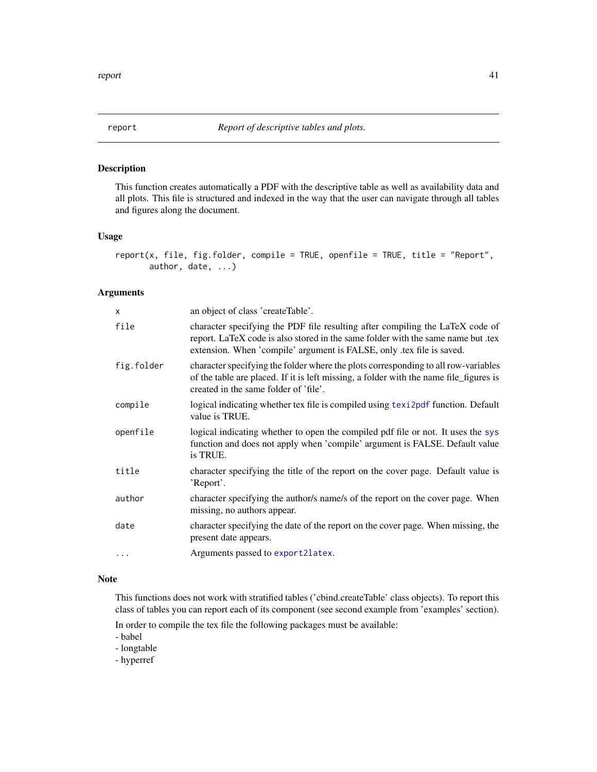<span id="page-40-1"></span><span id="page-40-0"></span>

# Description

This function creates automatically a PDF with the descriptive table as well as availability data and all plots. This file is structured and indexed in the way that the user can navigate through all tables and figures along the document.

# Usage

```
report(x, file, fig.folder, compile = TRUE, openfile = TRUE, title = "Report",
       author, date, ...)
```
# Arguments

| $\mathsf{x}$ | an object of class 'createTable'.                                                                                                                                                                                                         |
|--------------|-------------------------------------------------------------------------------------------------------------------------------------------------------------------------------------------------------------------------------------------|
| file         | character specifying the PDF file resulting after compiling the LaTeX code of<br>report. LaTeX code is also stored in the same folder with the same name but .tex<br>extension. When 'compile' argument is FALSE, only tex file is saved. |
| fig.folder   | character specifying the folder where the plots corresponding to all row-variables<br>of the table are placed. If it is left missing, a folder with the name file_figures is<br>created in the same folder of 'file'.                     |
| compile      | logical indicating whether tex file is compiled using texi2pdf function. Default<br>value is TRUE.                                                                                                                                        |
| openfile     | logical indicating whether to open the compiled pdf file or not. It uses the sys<br>function and does not apply when 'compile' argument is FALSE. Default value<br>is TRUE.                                                               |
| title        | character specifying the title of the report on the cover page. Default value is<br>'Report'.                                                                                                                                             |
| author       | character specifying the author/s name/s of the report on the cover page. When<br>missing, no authors appear.                                                                                                                             |
| date         | character specifying the date of the report on the cover page. When missing, the<br>present date appears.                                                                                                                                 |
| $\ddotsc$    | Arguments passed to export2latex.                                                                                                                                                                                                         |

# Note

This functions does not work with stratified tables ('cbind.createTable' class objects). To report this class of tables you can report each of its component (see second example from 'examples' section).

In order to compile the tex file the following packages must be available:

- babel

- longtable

- hyperref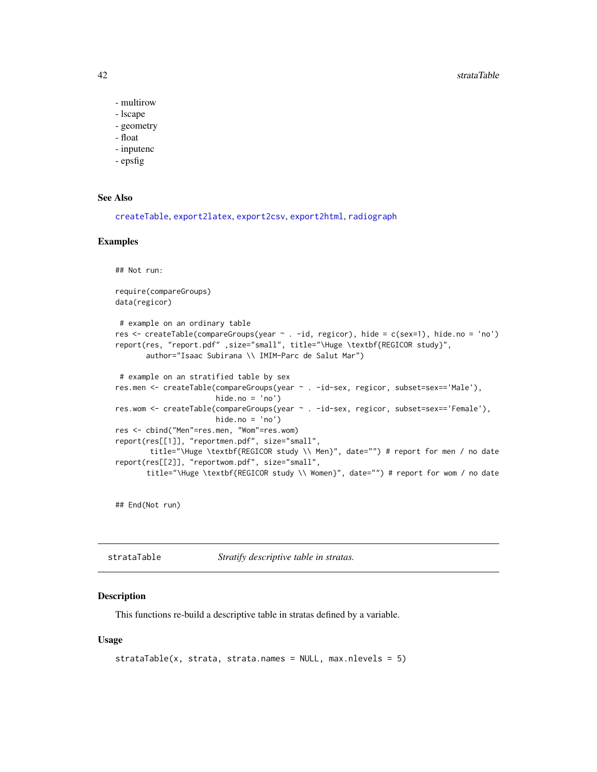#### 42 strataTable

- multirow
- lscape
- geometry
- float
- inputenc
- epsfig

# See Also

```
createTable, export2latex, export2csv, export2html, radiograph
```
#### Examples

```
## Not run:
require(compareGroups)
data(regicor)
# example on an ordinary table
res <- createTable(compareGroups(year ~ . -id, regicor), hide = c(sex=1), hide.no = 'no')
report(res, "report.pdf" ,size="small", title="\Huge \textbf{REGICOR study}",
      author="Isaac Subirana \\ IMIM-Parc de Salut Mar")
# example on an stratified table by sex
res.men <- createTable(compareGroups(year ~ . -id-sex, regicor, subset=sex=='Male'),
                       hide.no = 'no')
res.wom <- createTable(compareGroups(year ~ . -id-sex, regicor, subset=sex=='Female'),
                       hide.no = 'no')
res <- cbind("Men"=res.men, "Wom"=res.wom)
report(res[[1]], "reportmen.pdf", size="small",
       title="\Huge \textbf{REGICOR study \\ Men}", date="") # report for men / no date
report(res[[2]], "reportwom.pdf", size="small",
       title="\Huge \textbf{REGICOR study \\ Women}", date="") # report for wom / no date
```
## End(Not run)

strataTable *Stratify descriptive table in stratas.*

# **Description**

This functions re-build a descriptive table in stratas defined by a variable.

#### Usage

```
strataTable(x, strata, strata.names = NULL, max.nlevels = 5)
```
<span id="page-41-0"></span>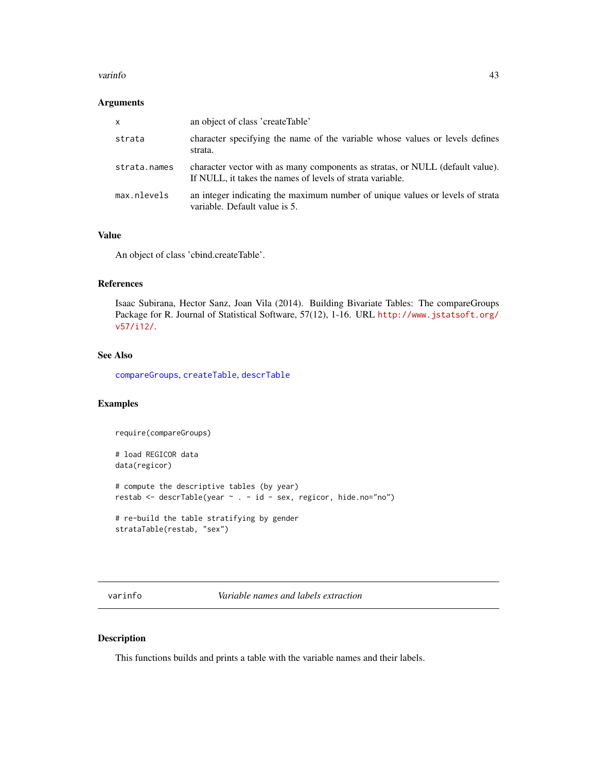#### <span id="page-42-0"></span>varinfo and the contract of the contract of the contract of the contract of the contract of the contract of the contract of the contract of the contract of the contract of the contract of the contract of the contract of th

# Arguments

| $\mathsf{x}$ | an object of class 'createTable'                                                                                                           |
|--------------|--------------------------------------------------------------------------------------------------------------------------------------------|
| strata       | character specifying the name of the variable whose values or levels defines<br>strata.                                                    |
| strata.names | character vector with as many components as stratas, or NULL (default value).<br>If NULL, it takes the names of levels of strata variable. |
| max.nlevels  | an integer indicating the maximum number of unique values or levels of strata<br>variable. Default value is 5.                             |

# Value

An object of class 'cbind.createTable'.

# References

Isaac Subirana, Hector Sanz, Joan Vila (2014). Building Bivariate Tables: The compareGroups Package for R. Journal of Statistical Software, 57(12), 1-16. URL [http://www.jstatsoft.org/](http://www.jstatsoft.org/v57/i12/) [v57/i12/](http://www.jstatsoft.org/v57/i12/).

# See Also

[compareGroups](#page-4-1), [createTable](#page-13-1), [descrTable](#page-17-1)

# Examples

require(compareGroups)

# load REGICOR data data(regicor)

# compute the descriptive tables (by year) restab <- descrTable(year ~ . - id - sex, regicor, hide.no="no")

# re-build the table stratifying by gender strataTable(restab, "sex")

varinfo *Variable names and labels extraction*

# Description

This functions builds and prints a table with the variable names and their labels.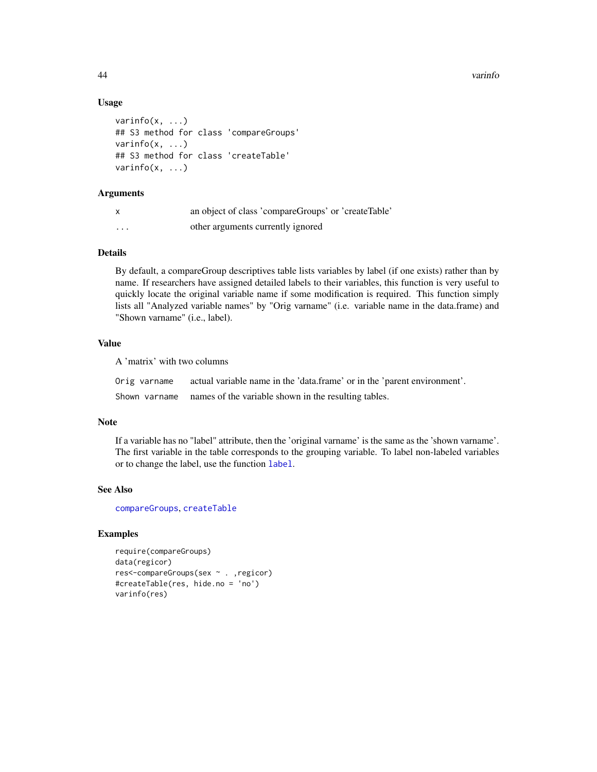44 varinfo

# Usage

```
varinfo(x, ...)
## S3 method for class 'compareGroups'
varinfc(x, \ldots)## S3 method for class 'createTable'
varinfo(x, ...)
```
# Arguments

| x        | an object of class 'compareGroups' or 'createTable' |
|----------|-----------------------------------------------------|
| $\cdots$ | other arguments currently ignored                   |

# Details

By default, a compareGroup descriptives table lists variables by label (if one exists) rather than by name. If researchers have assigned detailed labels to their variables, this function is very useful to quickly locate the original variable name if some modification is required. This function simply lists all "Analyzed variable names" by "Orig varname" (i.e. variable name in the data.frame) and "Shown varname" (i.e., label).

# Value

A 'matrix' with two columns

| Orig varname | actual variable name in the 'data.frame' or in the 'parent environment'. |
|--------------|--------------------------------------------------------------------------|
|              | Shown varname names of the variable shown in the resulting tables.       |

#### Note

If a variable has no "label" attribute, then the 'original varname' is the same as the 'shown varname'. The first variable in the table corresponds to the grouping variable. To label non-labeled variables or to change the label, use the function [label](#page-0-0).

# See Also

[compareGroups](#page-4-1), [createTable](#page-13-1)

# Examples

```
require(compareGroups)
data(regicor)
res<-compareGroups(sex ~ . ,regicor)
#createTable(res, hide.no = 'no')
varinfo(res)
```
<span id="page-43-0"></span>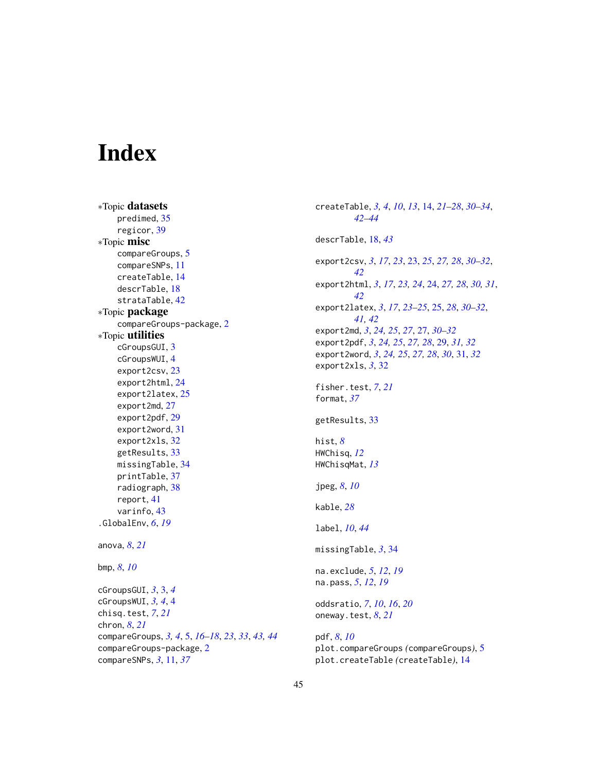# <span id="page-44-0"></span>Index

∗Topic datasets predimed, [35](#page-34-0) regicor, [39](#page-38-0) ∗Topic misc compareGroups, [5](#page-4-0) compareSNPs, [11](#page-10-0) createTable, [14](#page-13-0) descrTable, [18](#page-17-0) strataTable, [42](#page-41-0) ∗Topic package compareGroups-package, [2](#page-1-0) ∗Topic utilities cGroupsGUI, [3](#page-2-0) cGroupsWUI, [4](#page-3-0) export2csv, [23](#page-22-0) export2html, [24](#page-23-0) export2latex, [25](#page-24-0) export2md, [27](#page-26-0) export2pdf, [29](#page-28-0) export2word, [31](#page-30-0) export2xls, [32](#page-31-0) getResults, [33](#page-32-0) missingTable, [34](#page-33-0) printTable, [37](#page-36-0) radiograph, [38](#page-37-0) report, [41](#page-40-0) varinfo, [43](#page-42-0) .GlobalEnv, *[6](#page-5-0)*, *[19](#page-18-0)* anova, *[8](#page-7-0)*, *[21](#page-20-0)* bmp, *[8](#page-7-0)*, *[10](#page-9-0)* cGroupsGUI, *[3](#page-2-0)*, [3,](#page-2-0) *[4](#page-3-0)* cGroupsWUI, *[3,](#page-2-0) [4](#page-3-0)*, [4](#page-3-0) chisq.test, *[7](#page-6-0)*, *[21](#page-20-0)* chron, *[8](#page-7-0)*, *[21](#page-20-0)* compareGroups, *[3,](#page-2-0) [4](#page-3-0)*, [5,](#page-4-0) *[16–](#page-15-0)[18](#page-17-0)*, *[23](#page-22-0)*, *[33](#page-32-0)*, *[43,](#page-42-0) [44](#page-43-0)* compareGroups-package, [2](#page-1-0) compareSNPs, *[3](#page-2-0)*, [11,](#page-10-0) *[37](#page-36-0)*

createTable, *[3,](#page-2-0) [4](#page-3-0)*, *[10](#page-9-0)*, *[13](#page-12-0)*, [14,](#page-13-0) *[21](#page-20-0)[–28](#page-27-0)*, *[30](#page-29-0)[–34](#page-33-0)*, *[42](#page-41-0)[–44](#page-43-0)* descrTable, [18,](#page-17-0) *[43](#page-42-0)* export2csv, *[3](#page-2-0)*, *[17](#page-16-0)*, *[23](#page-22-0)*, [23,](#page-22-0) *[25](#page-24-0)*, *[27,](#page-26-0) [28](#page-27-0)*, *[30](#page-29-0)[–32](#page-31-0)*, *[42](#page-41-0)* export2html, *[3](#page-2-0)*, *[17](#page-16-0)*, *[23,](#page-22-0) [24](#page-23-0)*, [24,](#page-23-0) *[27,](#page-26-0) [28](#page-27-0)*, *[30,](#page-29-0) [31](#page-30-0)*, *[42](#page-41-0)* export2latex, *[3](#page-2-0)*, *[17](#page-16-0)*, *[23](#page-22-0)[–25](#page-24-0)*, [25,](#page-24-0) *[28](#page-27-0)*, *[30](#page-29-0)[–32](#page-31-0)*, *[41,](#page-40-0) [42](#page-41-0)* export2md, *[3](#page-2-0)*, *[24,](#page-23-0) [25](#page-24-0)*, *[27](#page-26-0)*, [27,](#page-26-0) *[30](#page-29-0)[–32](#page-31-0)* export2pdf, *[3](#page-2-0)*, *[24,](#page-23-0) [25](#page-24-0)*, *[27,](#page-26-0) [28](#page-27-0)*, [29,](#page-28-0) *[31,](#page-30-0) [32](#page-31-0)* export2word, *[3](#page-2-0)*, *[24,](#page-23-0) [25](#page-24-0)*, *[27,](#page-26-0) [28](#page-27-0)*, *[30](#page-29-0)*, [31,](#page-30-0) *[32](#page-31-0)* export2xls, *[3](#page-2-0)*, [32](#page-31-0) fisher.test, *[7](#page-6-0)*, *[21](#page-20-0)* format, *[37](#page-36-0)* getResults, [33](#page-32-0) hist, *[8](#page-7-0)* HWChisq, *[12](#page-11-0)* HWChisqMat, *[13](#page-12-0)* jpeg, *[8](#page-7-0)*, *[10](#page-9-0)* kable, *[28](#page-27-0)* label, *[10](#page-9-0)*, *[44](#page-43-0)* missingTable, *[3](#page-2-0)*, [34](#page-33-0) na.exclude, *[5](#page-4-0)*, *[12](#page-11-0)*, *[19](#page-18-0)* na.pass, *[5](#page-4-0)*, *[12](#page-11-0)*, *[19](#page-18-0)* oddsratio, *[7](#page-6-0)*, *[10](#page-9-0)*, *[16](#page-15-0)*, *[20](#page-19-0)* oneway.test, *[8](#page-7-0)*, *[21](#page-20-0)* pdf, *[8](#page-7-0)*, *[10](#page-9-0)* plot.compareGroups *(*compareGroups*)*, [5](#page-4-0)

plot.createTable *(*createTable*)*, [14](#page-13-0)